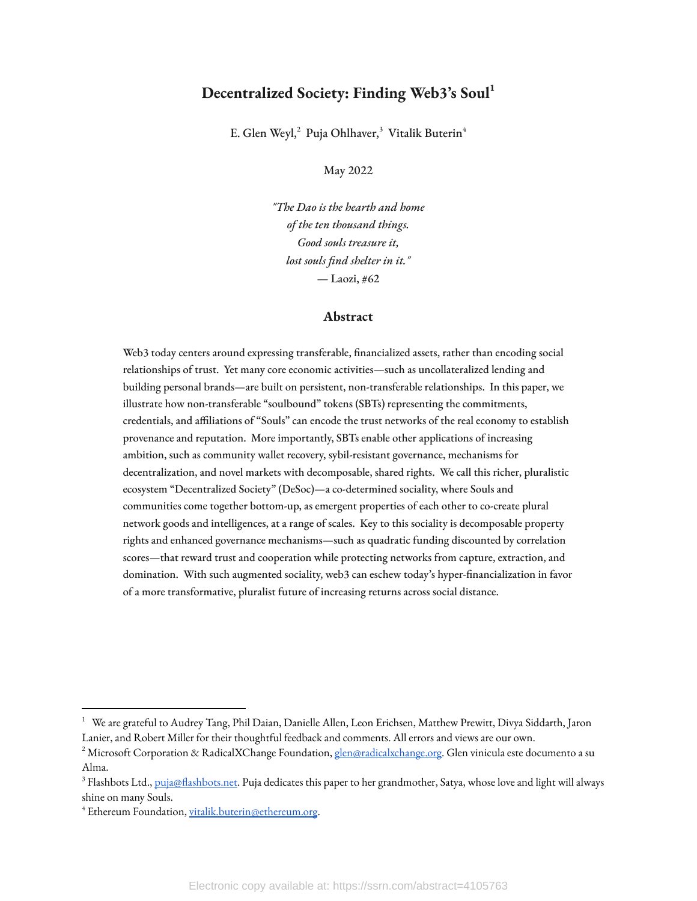# **Decentralized Society: Finding Web3's Soul 1**

E. Glen Weyl,<sup>2</sup> Puja Ohlhaver,<sup>3</sup> Vitalik Buterin<sup>4</sup>

May 2022

*"The Dao is the hearth and home of the ten thousand things. Good souls treasure it, lost souls find shelter in it."* — Laozi, #62

# **Abstract**

Web3 today centers around expressing transferable, financialized assets, rather than encoding social relationships of trust. Yet many core economic activities—such as uncollateralized lending and building personal brands—are built on persistent, non-transferable relationships. In this paper, we illustrate how non-transferable "soulbound" tokens (SBTs) representing the commitments, credentials, and affiliations of "Souls" can encode the trust networks of the real economy to establish provenance and reputation. More importantly, SBTs enable other applications of increasing ambition, such as community wallet recovery, sybil-resistant governance, mechanisms for decentralization, and novel markets with decomposable, shared rights. We call this richer, pluralistic ecosystem "Decentralized Society" (DeSoc)—a co-determined sociality, where Souls and communities come together bottom-up, as emergent properties of each other to co-create plural network goods and intelligences, at a range of scales. Key to this sociality is decomposable property rights and enhanced governance mechanisms—such as quadratic funding discounted by correlation scores—that reward trust and cooperation while protecting networks from capture, extraction, and domination. With such augmented sociality, web3 can eschew today's hyper-financialization in favor of a more transformative, pluralist future of increasing returns across social distance.

 $1$  We are grateful to Audrey Tang, Phil Daian, Danielle Allen, Leon Erichsen, Matthew Prewitt, Divya Siddarth, Jaron Lanier, and Robert Miller for their thoughtful feedback and comments. All errors and views are our own.

<sup>&</sup>lt;sup>2</sup> Microsoft Corporation & RadicalXChange Foundation, [glen@radicalxchange.org](mailto:glen@radicalxchange.org). Glen vinicula este documento a su Alma.

 $^3$  Flashbots Ltd., <u>puja@flashbots.net</u>. Puja dedicates this paper to her grandmother, Satya, whose love and light will always shine on many Souls.

<sup>4</sup> Ethereum Foundation, [vitalik.buterin@ethereum.org](mailto:vitalik.buterin@ethereum.org).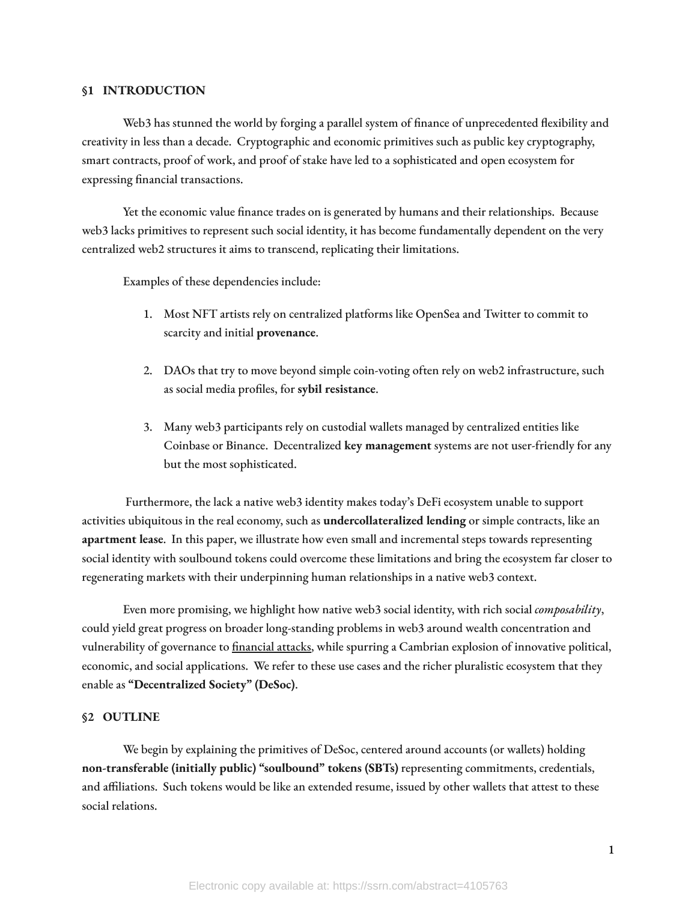# **§1 INTRODUCTION**

Web3 has stunned the world by forging a parallel system of finance of unprecedented flexibility and creativity in less than a decade. Cryptographic and economic primitives such as public key cryptography, smart contracts, proof of work, and proof of stake have led to a sophisticated and open ecosystem for expressing financial transactions.

Yet the economic value finance trades on is generated by humans and their relationships. Because web3 lacks primitives to represent such social identity, it has become fundamentally dependent on the very centralized web2 structures it aims to transcend, replicating their limitations.

Examples of these dependencies include:

- 1. Most NFT artists rely on centralized platforms like OpenSea and Twitter to commit to scarcity and initial **provenance**.
- 2. DAOs that try to move beyond simple coin-voting often rely on web2 infrastructure, such as social media profiles, for sybil resistance.
- 3. Many web3 participants rely on custodial wallets managed by centralized entities like Coinbase or Binance. Decentralized **key management** systems are not user-friendly for any but the most sophisticated.

Furthermore, the lack a native web3 identity makes today's DeFi ecosystem unable to support activities ubiquitous in the real economy, such as **undercollateralized lending** or simple contracts, like an **apartment lease**. In this paper, we illustrate how even small and incremental steps towards representing social identity with soulbound tokens could overcome these limitations and bring the ecosystem far closer to regenerating markets with their underpinning human relationships in a native web3 context.

Even more promising, we highlight how native web3 social identity, with rich social *composability*, could yield great progress on broader long-standing problems in web3 around wealth concentration and vulnerability of governance to fi[nancial](https://vitalik.ca/general/2021/08/16/voting3.htmlhttps://vitalik.ca/general/2021/08/16/voting3.html) attacks, while spurring a Cambrian explosion of innovative political, economic, and social applications. We refer to these use cases and the richer pluralistic ecosystem that they enable as **"Decentralized Society" (DeSoc)**.

#### **§2 OUTLINE**

We begin by explaining the primitives of DeSoc, centered around accounts (or wallets) holding **non-transferable (initially public) "soulbound" tokens (SBTs)** representing commitments, credentials, and affiliations. Such tokens would be like an extended resume, issued by other wallets that attest to these social relations.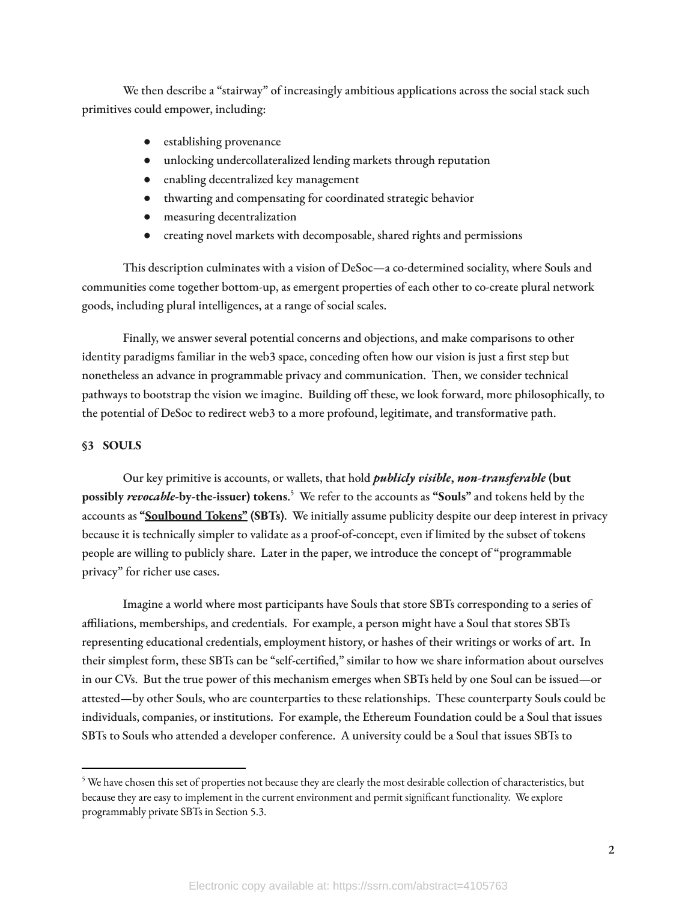We then describe a "stairway" of increasingly ambitious applications across the social stack such primitives could empower, including:

- establishing provenance
- unlocking undercollateralized lending markets through reputation
- enabling decentralized key management
- thwarting and compensating for coordinated strategic behavior
- measuring decentralization
- creating novel markets with decomposable, shared rights and permissions

This description culminates with a vision of DeSoc—a co-determined sociality, where Souls and communities come together bottom-up, as emergent properties of each other to co-create plural network goods, including plural intelligences, at a range of social scales.

Finally, we answer several potential concerns and objections, and make comparisons to other identity paradigms familiar in the web3 space, conceding often how our vision is just a first step but nonetheless an advance in programmable privacy and communication. Then, we consider technical pathways to bootstrap the vision we imagine. Building off these, we look forward, more philosophically, to the potential of DeSoc to redirect web3 to a more profound, legitimate, and transformative path.

# **§3 SOULS**

Our key primitive is accounts, or wallets, that hold *publicly visible***,** *non-transferable* **(but possibly** *revocable***-by-the-issuer) tokens**. <sup>5</sup> We refer to the accounts as **"Souls"** and tokens held by the accounts as **"[Soulbound](https://vitalik.ca/general/2022/01/26/soulbound.html) Tokens" (SBTs)**. We initially assume publicity despite our deep interest in privacy because it is technically simpler to validate as a proof-of-concept, even if limited by the subset of tokens people are willing to publicly share. Later in the paper, we introduce the concept of "programmable privacy" for richer use cases.

Imagine a world where most participants have Souls that store SBTs corresponding to a series of affiliations, memberships, and credentials. For example, a person might have a Soul that stores SBTs representing educational credentials, employment history, or hashes of their writings or works of art. In their simplest form, these SBTs can be "self-certified," similar to how we share information about ourselves in our CVs. But the true power of this mechanism emerges when SBTs held by one Soul can be issued—or attested—by other Souls, who are counterparties to these relationships. These counterparty Souls could be individuals, companies, or institutions. For example, the Ethereum Foundation could be a Soul that issues SBTs to Souls who attended a developer conference. A university could be a Soul that issues SBTs to

<sup>&</sup>lt;sup>5</sup> We have chosen this set of properties not because they are clearly the most desirable collection of characteristics, but because they are easy to implement in the current environment and permit significant functionality. We explore programmably private SBTs in Section 5.3.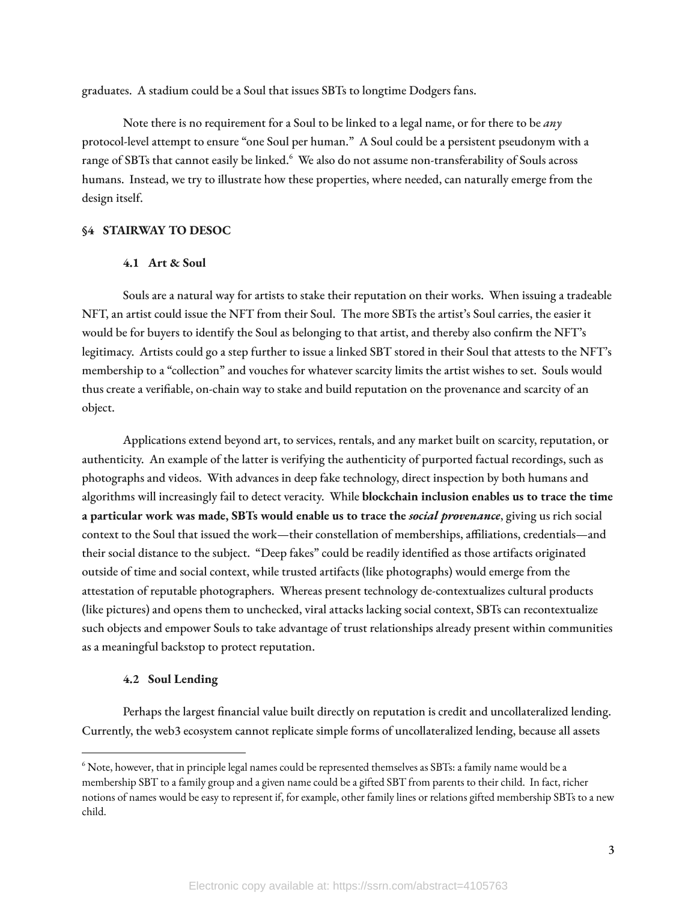graduates. A stadium could be a Soul that issues SBTs to longtime Dodgers fans.

Note there is no requirement for a Soul to be linked to a legal name, or for there to be *any* protocol-level attempt to ensure "one Soul per human." A Soul could be a persistent pseudonym with a range of SBTs that cannot easily be linked.<sup>6</sup> We also do not assume non-transferability of Souls across humans. Instead, we try to illustrate how these properties, where needed, can naturally emerge from the design itself.

# **§4 STAIRWAY TO DESOC**

# **4.1 Art & Soul**

Souls are a natural way for artists to stake their reputation on their works. When issuing a tradeable NFT, an artist could issue the NFT from their Soul. The more SBTs the artist's Soul carries, the easier it would be for buyers to identify the Soul as belonging to that artist, and thereby also confirm the NFT's legitimacy. Artists could go a step further to issue a linked SBT stored in their Soul that attests to the NFT's membership to a "collection" and vouches for whatever scarcity limits the artist wishes to set. Souls would thus create a verifiable, on-chain way to stake and build reputation on the provenance and scarcity of an object.

Applications extend beyond art, to services, rentals, and any market built on scarcity, reputation, or authenticity. An example of the latter is verifying the authenticity of purported factual recordings, such as photographs and videos. With advances in deep fake technology, direct inspection by both humans and algorithms will increasingly fail to detect veracity. While **blockchain inclusion enables us to trace the time a particular work was made, SBTs would enable us to trace the** *social provenance*, giving us rich social context to the Soul that issued the work—their constellation of memberships, affiliations, credentials—and their social distance to the subject. "Deep fakes" could be readily identified as those artifacts originated outside of time and social context, while trusted artifacts (like photographs) would emerge from the attestation of reputable photographers. Whereas present technology de-contextualizes cultural products (like pictures) and opens them to unchecked, viral attacks lacking social context, SBTs can recontextualize such objects and empower Souls to take advantage of trust relationships already present within communities as a meaningful backstop to protect reputation.

## **4.2 Soul Lending**

Perhaps the largest financial value built directly on reputation is credit and uncollateralized lending. Currently, the web3 ecosystem cannot replicate simple forms of uncollateralized lending, because all assets

 $^6$  Note, however, that in principle legal names could be represented themselves as SBTs: a family name would be a membership SBT to a family group and a given name could be a gifted SBT from parents to their child. In fact, richer notions of names would be easy to represent if, for example, other family lines or relations gifted membership SBTs to a new child.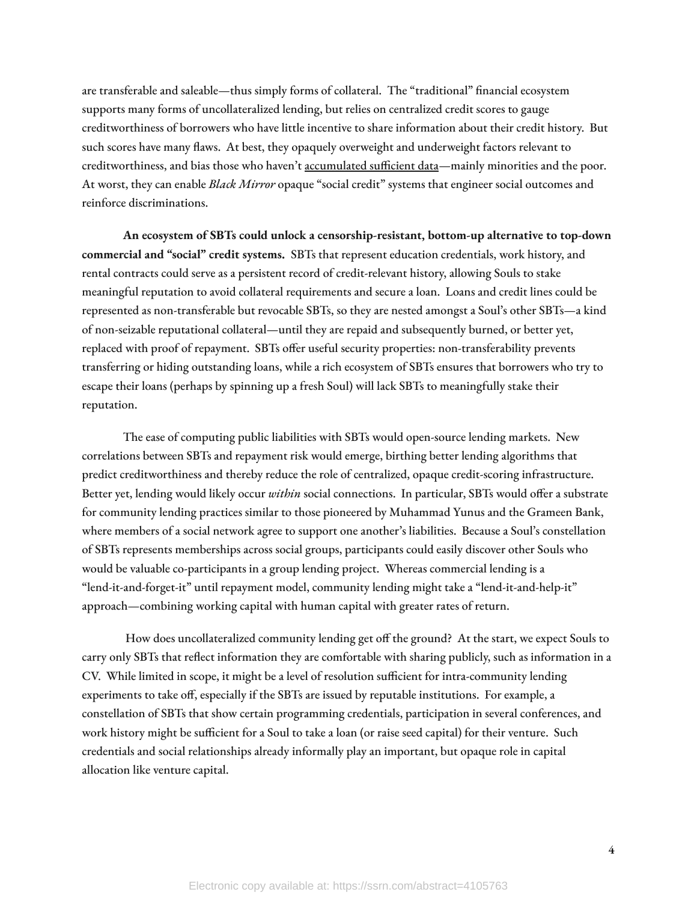are transferable and saleable—thus simply forms of collateral. The "traditional" financial ecosystem supports many forms of uncollateralized lending, but relies on centralized credit scores to gauge creditworthiness of borrowers who have little incentive to share information about their credit history. But such scores have many flaws. At best, they opaquely overweight and underweight factors relevant to creditworthiness, and bias those who haven't [accumulated](https://www.technologyreview.com/2021/06/17/1026519/racial-bias-noisy-data-credit-scores-mortgage-loans-fairness-machine-learning/) sufficient data—mainly minorities and the poor. At worst, they can enable *Black Mirror* opaque "social credit" systems that engineer social outcomes and reinforce discriminations.

**An ecosystem of SBTs could unlock a censorship-resistant, bottom-up alternative to top-down commercial and "social" credit systems.** SBTs that represent education credentials, work history, and rental contracts could serve as a persistent record of credit-relevant history, allowing Souls to stake meaningful reputation to avoid collateral requirements and secure a loan. Loans and credit lines could be represented as non-transferable but revocable SBTs, so they are nested amongst a Soul's other SBTs—a kind of non-seizable reputational collateral—until they are repaid and subsequently burned, or better yet, replaced with proof of repayment. SBTs offer useful security properties: non-transferability prevents transferring or hiding outstanding loans, while a rich ecosystem of SBTs ensures that borrowers who try to escape their loans (perhaps by spinning up a fresh Soul) will lack SBTs to meaningfully stake their reputation.

The ease of computing public liabilities with SBTs would open-source lending markets. New correlations between SBTs and repayment risk would emerge, birthing better lending algorithms that predict creditworthiness and thereby reduce the role of centralized, opaque credit-scoring infrastructure. Better yet, lending would likely occur *within* social connections. In particular, SBTs would offer a substrate for community lending practices similar to those pioneered by Muhammad Yunus and the Grameen Bank, where members of a social network agree to support one another's liabilities. Because a Soul's constellation of SBTs represents memberships across social groups, participants could easily discover other Souls who would be valuable co-participants in a group lending project. Whereas commercial lending is a "lend-it-and-forget-it" until repayment model, community lending might take a "lend-it-and-help-it" approach—combining working capital with human capital with greater rates of return.

How does uncollateralized community lending get off the ground? At the start, we expect Souls to carry only SBTs that reflect information they are comfortable with sharing publicly, such as information in a CV. While limited in scope, it might be a level of resolution sufficient for intra-community lending experiments to take off, especially if the SBTs are issued by reputable institutions. For example, a constellation of SBTs that show certain programming credentials, participation in several conferences, and work history might be sufficient for a Soul to take a loan (or raise seed capital) for their venture. Such credentials and social relationships already informally play an important, but opaque role in capital allocation like venture capital.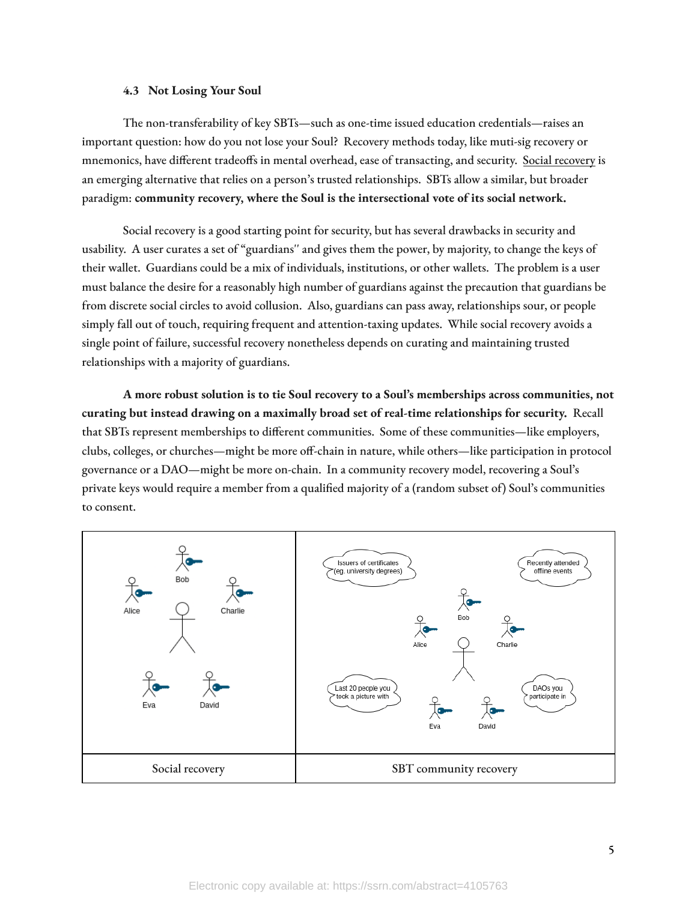#### **4.3 Not Losing Your Soul**

The non-transferability of key SBTs—such as one-time issued education credentials—raises an important question: how do you not lose your Soul? Recovery methods today, like muti-sig recovery or mnemonics, have different tradeoffs in mental overhead, ease of transacting, and security. Social [recovery](https://vitalik.ca/general/2021/01/11/recovery.html) is an emerging alternative that relies on a person's trusted relationships. SBTs allow a similar, but broader paradigm: **community recovery, where the Soul is the intersectional vote of its social network.**

Social recovery is a good starting point for security, but has several drawbacks in security and usability. A user curates a set of "guardians'' and gives them the power, by majority, to change the keys of their wallet. Guardians could be a mix of individuals, institutions, or other wallets. The problem is a user must balance the desire for a reasonably high number of guardians against the precaution that guardians be from discrete social circles to avoid collusion. Also, guardians can pass away, relationships sour, or people simply fall out of touch, requiring frequent and attention-taxing updates. While social recovery avoids a single point of failure, successful recovery nonetheless depends on curating and maintaining trusted relationships with a majority of guardians.

**A more robust solution is to tie Soul recovery to a Soul's memberships across communities, not curating but instead drawing on a maximally broad set of real-time relationships for security.** Recall that SBTs represent memberships to different communities. Some of these communities—like employers, clubs, colleges, or churches—might be more off-chain in nature, while others—like participation in protocol governance or a DAO—might be more on-chain. In a community recovery model, recovering a Soul's private keys would require a member from a qualied majority of a (random subset of) Soul's communities to consent.

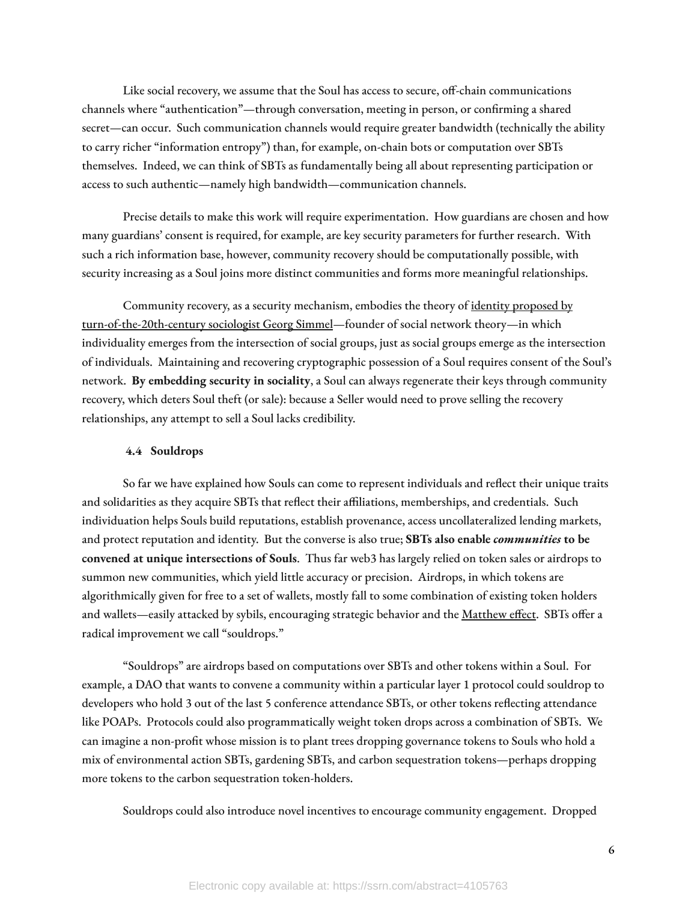Like social recovery, we assume that the Soul has access to secure, off-chain communications channels where "authentication"—through conversation, meeting in person, or confirming a shared secret—can occur. Such communication channels would require greater bandwidth (technically the ability to carry richer "information entropy") than, for example, on-chain bots or computation over SBTs themselves. Indeed, we can think of SBTs as fundamentally being all about representing participation or access to such authentic—namely high bandwidth—communication channels.

Precise details to make this work will require experimentation. How guardians are chosen and how many guardians' consent is required, for example, are key security parameters for further research. With such a rich information base, however, community recovery should be computationally possible, with security increasing as a Soul joins more distinct communities and forms more meaningful relationships.

Community recovery, as a security mechanism, embodies the theory of identity [proposed](https://repository.law.umich.edu/mlr_online/vol117/iss1/9/) by [turn-of-the-20th-century](https://repository.law.umich.edu/mlr_online/vol117/iss1/9/) sociologist Georg Simmel—founder of social network theory—in which individuality emerges from the intersection of social groups, just as social groups emerge as the intersection of individuals. Maintaining and recovering cryptographic possession of a Soul requires consent of the Soul's network. **By embedding security in sociality**, a Soul can always regenerate their keys through community recovery, which deters Soul theft (or sale): because a Seller would need to prove selling the recovery relationships, any attempt to sell a Soul lacks credibility.

# **4.4 Souldrops**

So far we have explained how Souls can come to represent individuals and reflect their unique traits and solidarities as they acquire SBTs that reflect their affiliations, memberships, and credentials. Such individuation helps Souls build reputations, establish provenance, access uncollateralized lending markets, and protect reputation and identity. But the converse is also true; **SBTs also enable** *communities* **to be convened at unique intersections of Souls**. Thus far web3 has largely relied on token sales or airdrops to summon new communities, which yield little accuracy or precision. Airdrops, in which tokens are algorithmically given for free to a set of wallets, mostly fall to some combination of existing token holders and wallets—easily attacked by sybils, encouraging strategic behavior and the [Matthew](https://en.wikipedia.org/wiki/Matthew_effect) effect. SBTs offer a radical improvement we call "souldrops."

"Souldrops" are airdrops based on computations over SBTs and other tokens within a Soul. For example, a DAO that wants to convene a community within a particular layer 1 protocol could souldrop to developers who hold 3 out of the last 5 conference attendance SBTs, or other tokens reflecting attendance like POAPs. Protocols could also programmatically weight token drops across a combination of SBTs. We can imagine a non-profit whose mission is to plant trees dropping governance tokens to Souls who hold a mix of environmental action SBTs, gardening SBTs, and carbon sequestration tokens—perhaps dropping more tokens to the carbon sequestration token-holders.

Souldrops could also introduce novel incentives to encourage community engagement. Dropped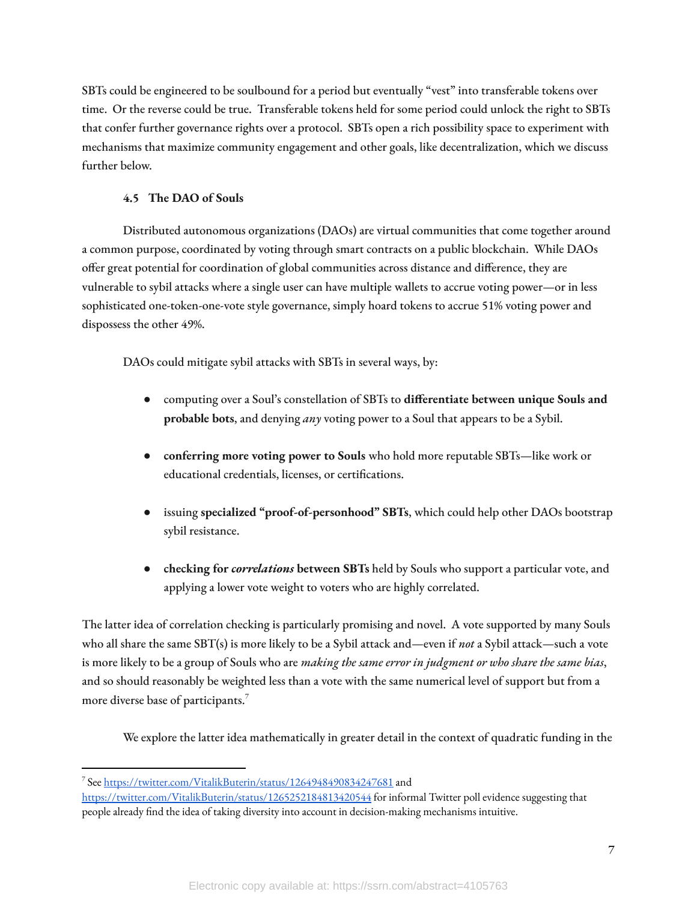SBTs could be engineered to be soulbound for a period but eventually "vest" into transferable tokens over time. Or the reverse could be true. Transferable tokens held for some period could unlock the right to SBTs that confer further governance rights over a protocol. SBTs open a rich possibility space to experiment with mechanisms that maximize community engagement and other goals, like decentralization, which we discuss further below.

# **4.5 The DAO of Souls**

Distributed autonomous organizations (DAOs) are virtual communities that come together around a common purpose, coordinated by voting through smart contracts on a public blockchain. While DAOs offer great potential for coordination of global communities across distance and difference, they are vulnerable to sybil attacks where a single user can have multiple wallets to accrue voting power—or in less sophisticated one-token-one-vote style governance, simply hoard tokens to accrue 51% voting power and dispossess the other 49%.

DAOs could mitigate sybil attacks with SBTs in several ways, by:

- computing over a Soul's constellation of SBTs to **dierentiate between unique Souls and probable bots**, and denying *any* voting power to a Soul that appears to be a Sybil.
- **conferring more voting power to Souls** who hold more reputable SBTs—like work or educational credentials, licenses, or certifications.
- issuing **specialized "proof-of-personhood" SBTs**, which could help other DAOs bootstrap sybil resistance.
- **checking for** *correlations* **between SBTs** held by Souls who support a particular vote, and applying a lower vote weight to voters who are highly correlated.

The latter idea of correlation checking is particularly promising and novel. A vote supported by many Souls who all share the same SBT(s) is more likely to be a Sybil attack and—even if *not* a Sybil attack—such a vote is more likely to be a group of Souls who are *making the same error in judgment or who share the same bias*, and so should reasonably be weighted less than a vote with the same numerical level of support but from a more diverse base of participants. 7

We explore the latter idea mathematically in greater detail in the context of quadratic funding in the

<sup>&</sup>lt;sup>7</sup> See <https://twitter.com/VitalikButerin/status/1264948490834247681> and

<https://twitter.com/VitalikButerin/status/1265252184813420544> for informal Twitter poll evidence suggesting that people already find the idea of taking diversity into account in decision-making mechanisms intuitive.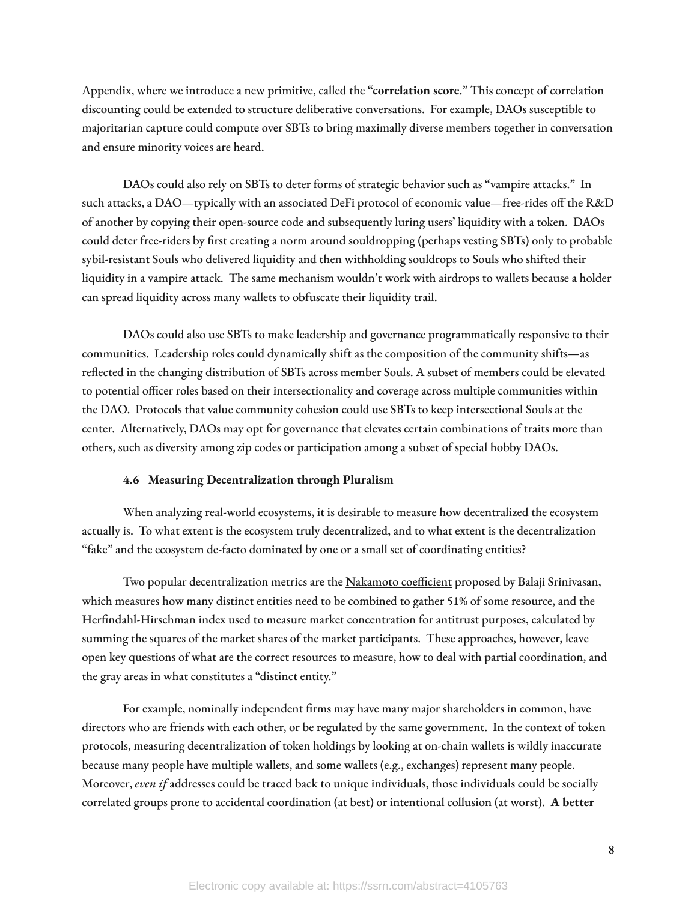Appendix, where we introduce a new primitive, called the **"correlation score**." This concept of correlation discounting could be extended to structure deliberative conversations. For example, DAOs susceptible to majoritarian capture could compute over SBTs to bring maximally diverse members together in conversation and ensure minority voices are heard.

DAOs could also rely on SBTs to deter forms of strategic behavior such as "vampire attacks." In such attacks, a DAO—typically with an associated DeFi protocol of economic value—free-rides off the R&D of another by copying their open-source code and subsequently luring users' liquidity with a token. DAOs could deter free-riders by first creating a norm around souldropping (perhaps vesting SBTs) only to probable sybil-resistant Souls who delivered liquidity and then withholding souldrops to Souls who shifted their liquidity in a vampire attack. The same mechanism wouldn't work with airdrops to wallets because a holder can spread liquidity across many wallets to obfuscate their liquidity trail.

DAOs could also use SBTs to make leadership and governance programmatically responsive to their communities. Leadership roles could dynamically shift as the composition of the community shifts—as reflected in the changing distribution of SBTs across member Souls. A subset of members could be elevated to potential officer roles based on their intersectionality and coverage across multiple communities within the DAO. Protocols that value community cohesion could use SBTs to keep intersectional Souls at the center. Alternatively, DAOs may opt for governance that elevates certain combinations of traits more than others, such as diversity among zip codes or participation among a subset of special hobby DAOs.

#### **4.6 Measuring Decentralization through Pluralism**

When analyzing real-world ecosystems, it is desirable to measure how decentralized the ecosystem actually is. To what extent is the ecosystem truly decentralized, and to what extent is the decentralization "fake" and the ecosystem de-facto dominated by one or a small set of coordinating entities?

Two popular decentralization metrics are the [Nakamoto](https://news.earn.com/quantifying-decentralization-e39db233c28e) coefficient proposed by Balaji Srinivasan, which measures how many distinct entities need to be combined to gather 51% of some resource, and the Herfindahl-Hirschman index used to measure market concentration for antitrust purposes, calculated by summing the squares of the market shares of the market participants. These approaches, however, leave open key questions of what are the correct resources to measure, how to deal with partial coordination, and the gray areas in what constitutes a "distinct entity."

For example, nominally independent firms may have many major shareholders in common, have directors who are friends with each other, or be regulated by the same government. In the context of token protocols, measuring decentralization of token holdings by looking at on-chain wallets is wildly inaccurate because many people have multiple wallets, and some wallets (e.g., exchanges) represent many people. Moreover, *even if* addresses could be traced back to unique individuals, those individuals could be socially correlated groups prone to accidental coordination (at best) or intentional collusion (at worst). **A better**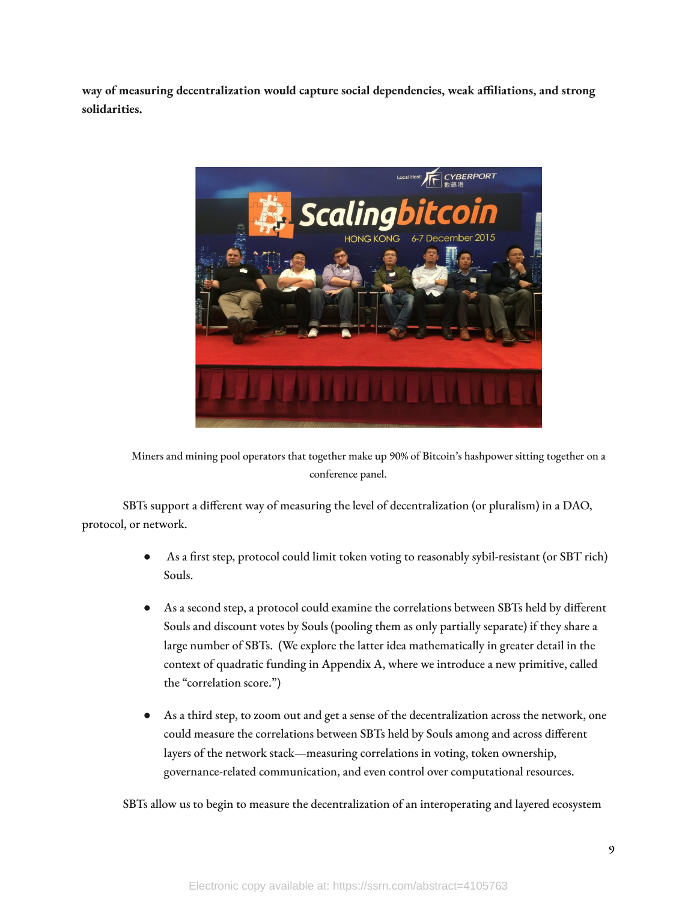**way of measuring decentralization would capture social dependencies, weak aliations, and strong solidarities.**



Miners and mining pool operators that together make up 90% of Bitcoin's hashpower sitting together on a conference panel.

SBTs support a different way of measuring the level of decentralization (or pluralism) in a DAO, protocol, or network.

- As a first step, protocol could limit token voting to reasonably sybil-resistant (or SBT rich) Souls.
- As a second step, a protocol could examine the correlations between SBTs held by different Souls and discount votes by Souls (pooling them as only partially separate) if they share a large number of SBTs. (We explore the latter idea mathematically in greater detail in the context of quadratic funding in Appendix A, where we introduce a new primitive, called the "correlation score.")
- As a third step, to zoom out and get a sense of the decentralization across the network, one could measure the correlations between SBTs held by Souls among and across different layers of the network stack—measuring correlations in voting, token ownership, governance-related communication, and even control over computational resources.

SBTs allow us to begin to measure the decentralization of an interoperating and layered ecosystem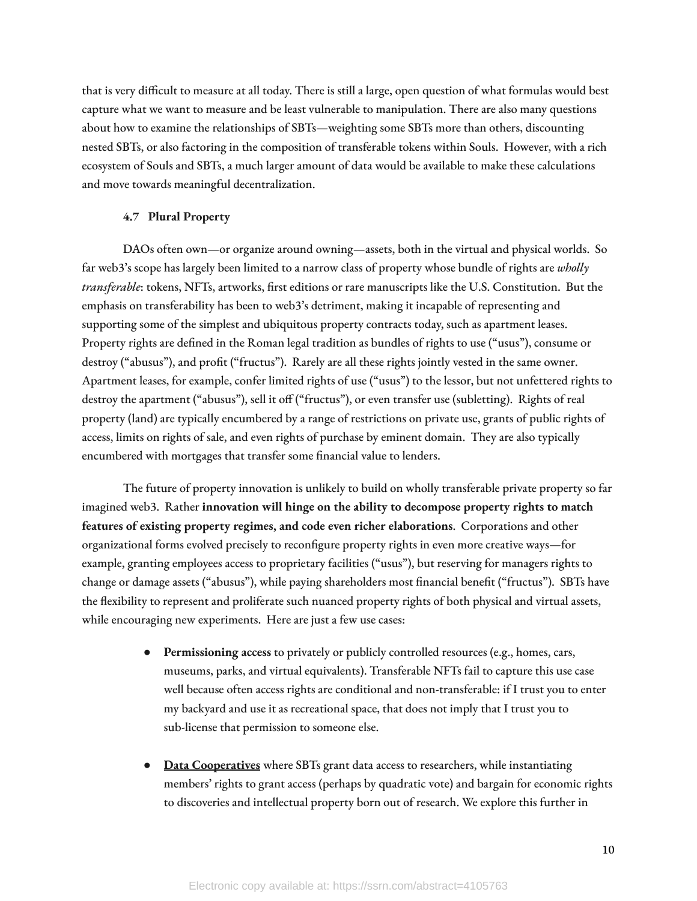that is very difficult to measure at all today. There is still a large, open question of what formulas would best capture what we want to measure and be least vulnerable to manipulation. There are also many questions about how to examine the relationships of SBTs—weighting some SBTs more than others, discounting nested SBTs, or also factoring in the composition of transferable tokens within Souls. However, with a rich ecosystem of Souls and SBTs, a much larger amount of data would be available to make these calculations and move towards meaningful decentralization.

#### **4.7 Plural Property**

DAOs often own—or organize around owning—assets, both in the virtual and physical worlds. So far web3's scope has largely been limited to a narrow class of property whose bundle of rights are *wholly* transferable: tokens, NFTs, artworks, first editions or rare manuscripts like the U.S. Constitution. But the emphasis on transferability has been to web3's detriment, making it incapable of representing and supporting some of the simplest and ubiquitous property contracts today, such as apartment leases. Property rights are defined in the Roman legal tradition as bundles of rights to use ("usus"), consume or destroy ("abusus"), and profit ("fructus"). Rarely are all these rights jointly vested in the same owner. Apartment leases, for example, confer limited rights of use ("usus") to the lessor, but not unfettered rights to destroy the apartment ("abusus"), sell it off ("fructus"), or even transfer use (subletting). Rights of real property (land) are typically encumbered by a range of restrictions on private use, grants of public rights of access, limits on rights of sale, and even rights of purchase by eminent domain. They are also typically encumbered with mortgages that transfer some financial value to lenders.

The future of property innovation is unlikely to build on wholly transferable private property so far imagined web3. Rather **innovation will hinge on the ability to decompose property rights to match features of existing property regimes, and code even richer elaborations**. Corporations and other organizational forms evolved precisely to reconfigure property rights in even more creative ways—for example, granting employees access to proprietary facilities ("usus"), but reserving for managers rights to change or damage assets ("abusus"), while paying shareholders most financial benefit ("fructus"). SBTs have the flexibility to represent and proliferate such nuanced property rights of both physical and virtual assets, while encouraging new experiments. Here are just a few use cases:

- **Permissioning access** to privately or publicly controlled resources (e.g., homes, cars, museums, parks, and virtual equivalents). Transferable NFTs fail to capture this use case well because often access rights are conditional and non-transferable: if I trust you to enter my backyard and use it as recreational space, that does not imply that I trust you to sub-license that permission to someone else.
- **Data [Cooperatives](https://www.noemamag.com/a-view-of-the-future-of-our-data/)** where SBTs grant data access to researchers, while instantiating members' rights to grant access (perhaps by quadratic vote) and bargain for economic rights to discoveries and intellectual property born out of research. We explore this further in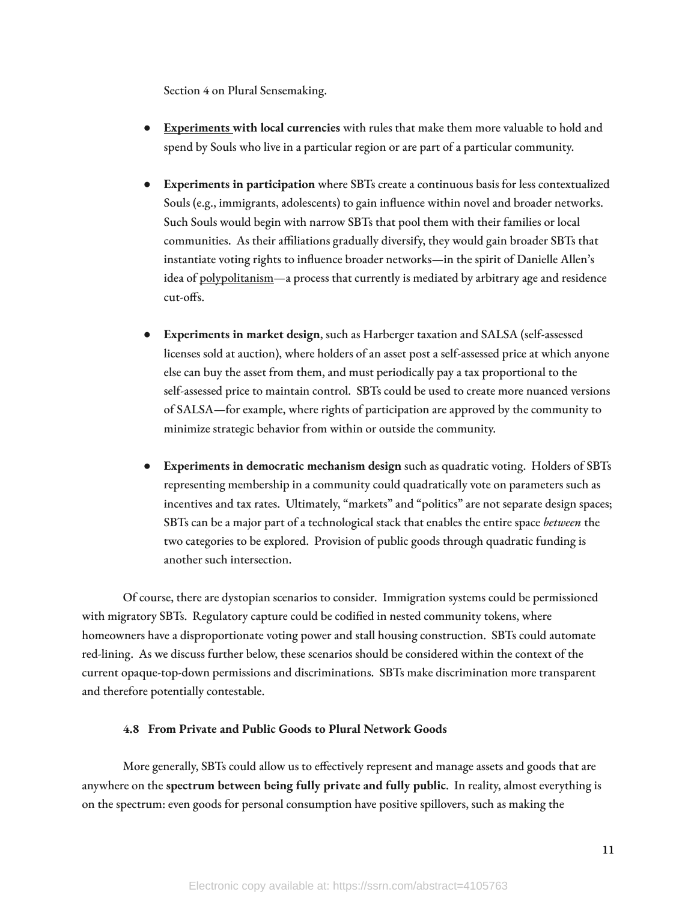Section 4 on Plural Sensemaking.

- **[Experiments](https://www.radicalxchange.org/media/blog/plural-money-a-new-currency-design/) with local currencies** with rules that make them more valuable to hold and spend by Souls who live in a particular region or are part of a particular community.
- **Experiments in participation** where SBTs create a continuous basis for less contextualized Souls (e.g., immigrants, adolescents) to gain influence within novel and broader networks. Such Souls would begin with narrow SBTs that pool them with their families or local communities. As their affiliations gradually diversify, they would gain broader SBTs that instantiate voting rights to influence broader networks—in the spirit of Danielle Allen's idea of [polypolitanism—](https://press.uchicago.edu/ucp/books/book/chicago/P/bo138501033.html)a process that currently is mediated by arbitrary age and residence cut-offs.
- **Experiments in market design**, such as Harberger taxation and SALSA (self-assessed licenses sold at auction), where holders of an asset post a self-assessed price at which anyone else can buy the asset from them, and must periodically pay a tax proportional to the self-assessed price to maintain control. SBTs could be used to create more nuanced versions of SALSA—for example, where rights of participation are approved by the community to minimize strategic behavior from within or outside the community.
- **Experiments in democratic mechanism design** such as quadratic voting. Holders of SBTs representing membership in a community could quadratically vote on parameters such as incentives and tax rates. Ultimately, "markets" and "politics" are not separate design spaces; SBTs can be a major part of a technological stack that enables the entire space *between* the two categories to be explored. Provision of public goods through quadratic funding is another such intersection.

Of course, there are dystopian scenarios to consider. Immigration systems could be permissioned with migratory SBTs. Regulatory capture could be codified in nested community tokens, where homeowners have a disproportionate voting power and stall housing construction. SBTs could automate red-lining. As we discuss further below, these scenarios should be considered within the context of the current opaque-top-down permissions and discriminations. SBTs make discrimination more transparent and therefore potentially contestable.

# **4.8 From Private and Public Goods to Plural Network Goods**

More generally, SBTs could allow us to effectively represent and manage assets and goods that are anywhere on the **spectrum between being fully private and fully public**. In reality, almost everything is on the spectrum: even goods for personal consumption have positive spillovers, such as making the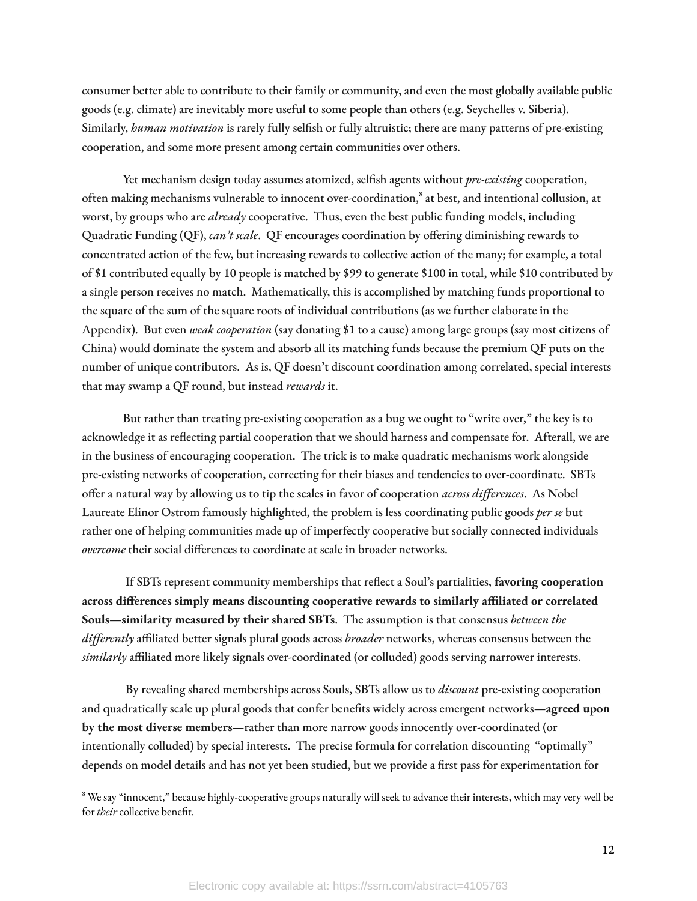consumer better able to contribute to their family or community, and even the most globally available public goods (e.g. climate) are inevitably more useful to some people than others (e.g. Seychelles v. Siberia). Similarly, *human motivation* is rarely fully selfish or fully altruistic; there are many patterns of pre-existing cooperation, and some more present among certain communities over others.

Yet mechanism design today assumes atomized, selfish agents without *pre-existing* cooperation, often making mechanisms vulnerable to innocent over-coordination, 8 at best, and intentional collusion, at worst, by groups who are *already* cooperative. Thus, even the best public funding models, including Quadratic Funding (QF), *can't scale*. QF encourages coordination by offering diminishing rewards to concentrated action of the few, but increasing rewards to collective action of the many; for example, a total of \$1 contributed equally by 10 people is matched by \$99 to generate \$100 in total, while \$10 contributed by a single person receives no match. Mathematically, this is accomplished by matching funds proportional to the square of the sum of the square roots of individual contributions (as we further elaborate in the Appendix). But even *weak cooperation* (say donating \$1 to a cause) among large groups (say most citizens of China) would dominate the system and absorb all its matching funds because the premium QF puts on the number of unique contributors. As is, QF doesn't discount coordination among correlated, special interests that may swamp a QF round, but instead *rewards* it.

But rather than treating pre-existing cooperation as a bug we ought to "write over," the key is to acknowledge it as reflecting partial cooperation that we should harness and compensate for. Afterall, we are in the business of encouraging cooperation. The trick is to make quadratic mechanisms work alongside pre-existing networks of cooperation, correcting for their biases and tendencies to over-coordinate. SBTs offer a natural way by allowing us to tip the scales in favor of cooperation *across differences*. As Nobel Laureate Elinor Ostrom famously highlighted, the problem is less coordinating public goods *per se* but rather one of helping communities made up of imperfectly cooperative but socially connected individuals *overcome* their social differences to coordinate at scale in broader networks.

If SBTs represent community memberships that reflect a Soul's partialities, favoring cooperation **across dierences simply means discounting cooperative rewards to similarly aliated or correlated Souls—similarity measured by their shared SBTs**. The assumption is that consensus *between the* differently affiliated better signals plural goods across *broader* networks, whereas consensus between the similarly affiliated more likely signals over-coordinated (or colluded) goods serving narrower interests.

By revealing shared memberships across Souls, SBTs allow us to *discount* pre-existing cooperation and quadratically scale up plural goods that confer benefits widely across emergent networks—agreed upon **by the most diverse members**—rather than more narrow goods innocently over-coordinated (or intentionally colluded) by special interests. The precise formula for correlation discounting "optimally" depends on model details and has not yet been studied, but we provide a first pass for experimentation for

<sup>&</sup>lt;sup>8</sup> We say "innocent," because highly-cooperative groups naturally will seek to advance their interests, which may very well be for *their* collective benefit.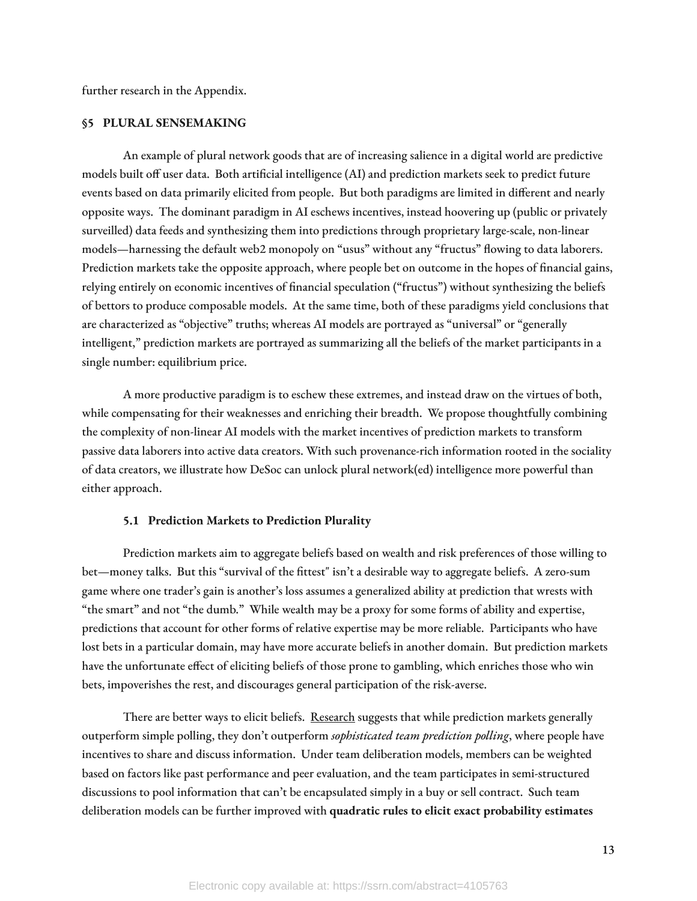further research in the Appendix.

#### **§5 PLURAL SENSEMAKING**

An example of plural network goods that are of increasing salience in a digital world are predictive models built off user data. Both artificial intelligence (AI) and prediction markets seek to predict future events based on data primarily elicited from people. But both paradigms are limited in different and nearly opposite ways. The dominant paradigm in AI eschews incentives, instead hoovering up (public or privately surveilled) data feeds and synthesizing them into predictions through proprietary large-scale, non-linear models—harnessing the default web2 monopoly on "usus" without any "fructus" flowing to data laborers. Prediction markets take the opposite approach, where people bet on outcome in the hopes of financial gains, relying entirely on economic incentives of financial speculation ("fructus") without synthesizing the beliefs of bettors to produce composable models. At the same time, both of these paradigms yield conclusions that are characterized as "objective" truths; whereas AI models are portrayed as "universal" or "generally intelligent," prediction markets are portrayed as summarizing all the beliefs of the market participants in a single number: equilibrium price.

A more productive paradigm is to eschew these extremes, and instead draw on the virtues of both, while compensating for their weaknesses and enriching their breadth. We propose thoughtfully combining the complexity of non-linear AI models with the market incentives of prediction markets to transform passive data laborers into active data creators. With such provenance-rich information rooted in the sociality of data creators, we illustrate how DeSoc can unlock plural network(ed) intelligence more powerful than either approach.

# **5.1 Prediction Markets to Prediction Plurality**

Prediction markets aim to aggregate beliefs based on wealth and risk preferences of those willing to bet—money talks. But this "survival of the fittest" isn't a desirable way to aggregate beliefs. A zero-sum game where one trader's gain is another's loss assumes a generalized ability at prediction that wrests with "the smart" and not "the dumb." While wealth may be a proxy for some forms of ability and expertise, predictions that account for other forms of relative expertise may be more reliable. Participants who have lost bets in a particular domain, may have more accurate beliefs in another domain. But prediction markets have the unfortunate effect of eliciting beliefs of those prone to gambling, which enriches those who win bets, impoverishes the rest, and discourages general participation of the risk-averse.

There are better ways to elicit beliefs. [Research](https://pubsonline.informs.org/doi/abs/10.1287/mnsc.2015.2374) suggests that while prediction markets generally outperform simple polling, they don't outperform *sophisticated team prediction polling*, where people have incentives to share and discuss information. Under team deliberation models, members can be weighted based on factors like past performance and peer evaluation, and the team participates in semi-structured discussions to pool information that can't be encapsulated simply in a buy or sell contract. Such team deliberation models can be further improved with **quadratic rules to elicit exact probability estimates**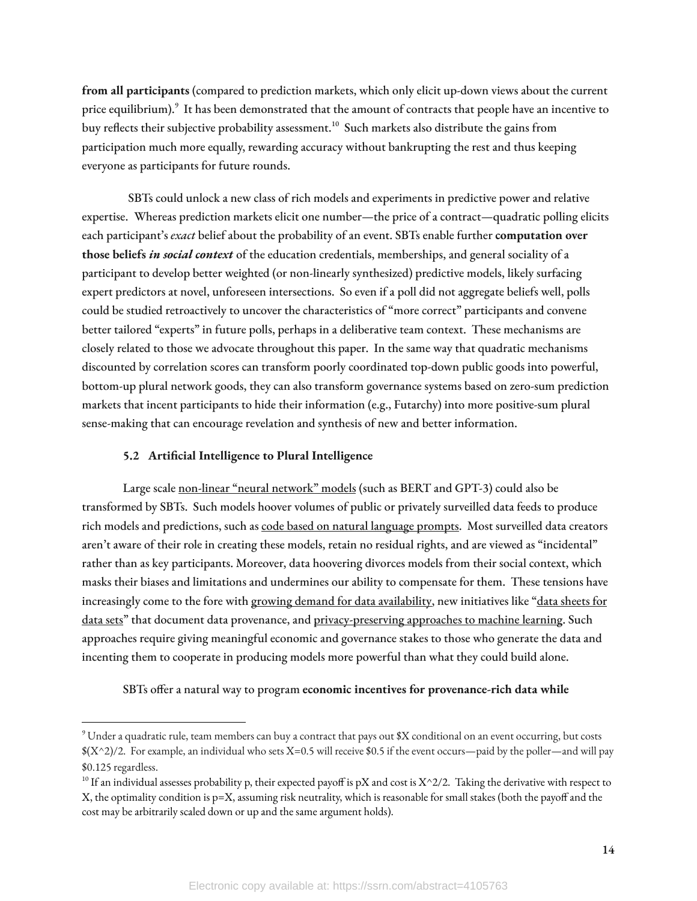**from all participants** (compared to prediction markets, which only elicit up-down views about the current price equilibrium).<sup>9</sup> It has been demonstrated that the amount of contracts that people have an incentive to buy reflects their subjective probability assessment. $^{10}$  Such markets also distribute the gains from participation much more equally, rewarding accuracy without bankrupting the rest and thus keeping everyone as participants for future rounds.

SBTs could unlock a new class of rich models and experiments in predictive power and relative expertise. Whereas prediction markets elicit one number—the price of a contract—quadratic polling elicits each participant's *exact* belief about the probability of an event. SBTs enable further **computation over those beliefs** *in social context* of the education credentials, memberships, and general sociality of a participant to develop better weighted (or non-linearly synthesized) predictive models, likely surfacing expert predictors at novel, unforeseen intersections. So even if a poll did not aggregate beliefs well, polls could be studied retroactively to uncover the characteristics of "more correct" participants and convene better tailored "experts" in future polls, perhaps in a deliberative team context. These mechanisms are closely related to those we advocate throughout this paper. In the same way that quadratic mechanisms discounted by correlation scores can transform poorly coordinated top-down public goods into powerful, bottom-up plural network goods, they can also transform governance systems based on zero-sum prediction markets that incent participants to hide their information (e.g., Futarchy) into more positive-sum plural sense-making that can encourage revelation and synthesis of new and better information.

# **5.2 Articial Intelligence to Plural Intelligence**

Large scale [non-linear](https://arxiv.org/abs/2108.07258) "neural network" models (such as BERT and GPT-3) could also be transformed by SBTs. Such models hoover volumes of public or privately surveilled data feeds to produce rich models and predictions, such as code based on natural [language](https://copilot.github.com/) prompts. Most surveilled data creators aren't aware of their role in creating these models, retain no residual rights, and are viewed as "incidental" rather than as key participants. Moreover, data hoovering divorces models from their social context, which masks their biases and limitations and undermines our ability to compensate for them. These tensions have increasingly come to the fore with growing demand for data [availability,](https://arxiv.org/abs/2112.04426) new initiatives like "data [sheets](https://arxiv.org/abs/1803.09010) for [data](https://arxiv.org/abs/1803.09010) sets" that document data provenance, and [privacy-preserving](https://www.openmined.org/) approaches to machine learning. Such approaches require giving meaningful economic and governance stakes to those who generate the data and incenting them to cooperate in producing models more powerful than what they could build alone.

# SBTs offer a natural way to program economic incentives for provenance-rich data while

<sup>9</sup> Under a quadratic rule, team members can buy a contract that pays out \$X conditional on an event occurring, but costs  $(X^2)/2$ . For example, an individual who sets X=0.5 will receive \$0.5 if the event occurs—paid by the poller—and will pay \$0.125 regardless.

<sup>&</sup>lt;sup>10</sup> If an individual assesses probability p, their expected payoff is pX and cost is X^2/2. Taking the derivative with respect to X, the optimality condition is  $p=X$ , assuming risk neutrality, which is reasonable for small stakes (both the payoff and the cost may be arbitrarily scaled down or up and the same argument holds).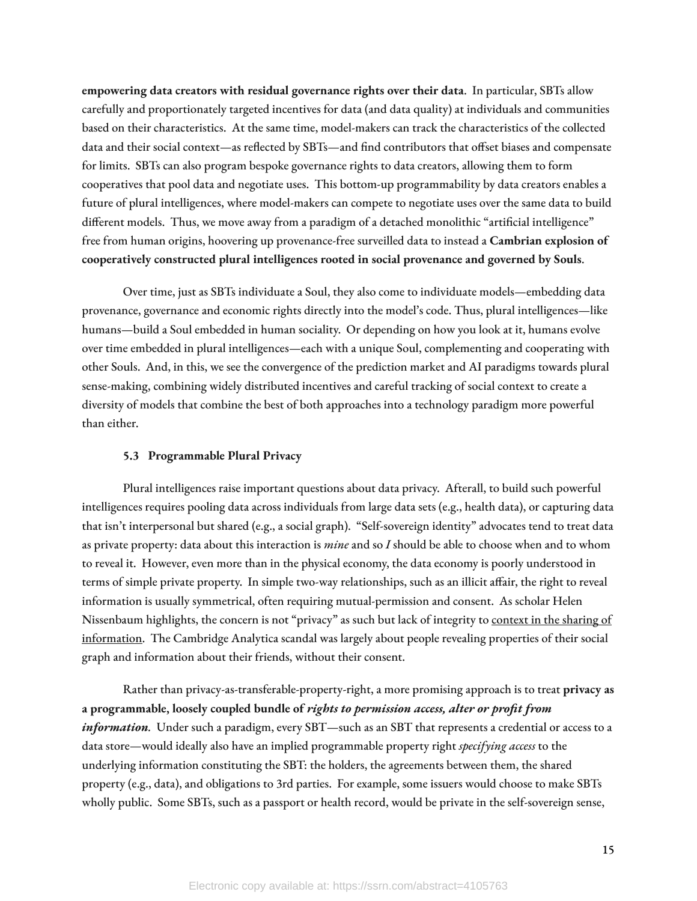**empowering data creators with residual governance rights over their data**. In particular, SBTs allow carefully and proportionately targeted incentives for data (and data quality) at individuals and communities based on their characteristics. At the same time, model-makers can track the characteristics of the collected data and their social context—as reflected by SBTs—and find contributors that offset biases and compensate for limits. SBTs can also program bespoke governance rights to data creators, allowing them to form cooperatives that pool data and negotiate uses. This bottom-up programmability by data creators enables a future of plural intelligences, where model-makers can compete to negotiate uses over the same data to build different models. Thus, we move away from a paradigm of a detached monolithic "artificial intelligence" free from human origins, hoovering up provenance-free surveilled data to instead a **Cambrian explosion of cooperatively constructed plural intelligences rooted in social provenance and governed by Souls**.

Over time, just as SBTs individuate a Soul, they also come to individuate models—embedding data provenance, governance and economic rights directly into the model's code. Thus, plural intelligences—like humans—build a Soul embedded in human sociality. Or depending on how you look at it, humans evolve over time embedded in plural intelligences—each with a unique Soul, complementing and cooperating with other Souls. And, in this, we see the convergence of the prediction market and AI paradigms towards plural sense-making, combining widely distributed incentives and careful tracking of social context to create a diversity of models that combine the best of both approaches into a technology paradigm more powerful than either.

# **5.3 Programmable Plural Privacy**

Plural intelligences raise important questions about data privacy. Afterall, to build such powerful intelligences requires pooling data across individuals from large data sets (e.g., health data), or capturing data that isn't interpersonal but shared (e.g., a social graph). "Self-sovereign identity" advocates tend to treat data as private property: data about this interaction is *mine* and so *I* should be able to choose when and to whom to reveal it. However, even more than in the physical economy, the data economy is poorly understood in terms of simple private property. In simple two-way relationships, such as an illicit affair, the right to reveal information is usually symmetrical, often requiring mutual-permission and consent. As scholar Helen Nissenbaum highlights, the concern is not "privacy" as such but lack of integrity to [context](https://www.sup.org/books/title/?id=8862#:~:text=Nissenbaum%20persuasively%20argues%20that%20privacy,in%20Context%20is%20essential%20reading.%22&text=%22Privacy%20in%20Context%20is%20a%20major%20achievement.) in the sharing of [information.](https://www.sup.org/books/title/?id=8862#:~:text=Nissenbaum%20persuasively%20argues%20that%20privacy,in%20Context%20is%20essential%20reading.%22&text=%22Privacy%20in%20Context%20is%20a%20major%20achievement.) The Cambridge Analytica scandal was largely about people revealing properties of their social graph and information about their friends, without their consent.

Rather than privacy-as-transferable-property-right, a more promising approach is to treat **privacy as a programmable, loosely coupled bundle of** *rights to permission access, alter or profit from information.* Under such a paradigm, every SBT—such as an SBT that represents a credential or access to a data store—would ideally also have an implied programmable property right *specifying access* to the underlying information constituting the SBT: the holders, the agreements between them, the shared property (e.g., data), and obligations to 3rd parties. For example, some issuers would choose to make SBTs wholly public. Some SBTs, such as a passport or health record, would be private in the self-sovereign sense,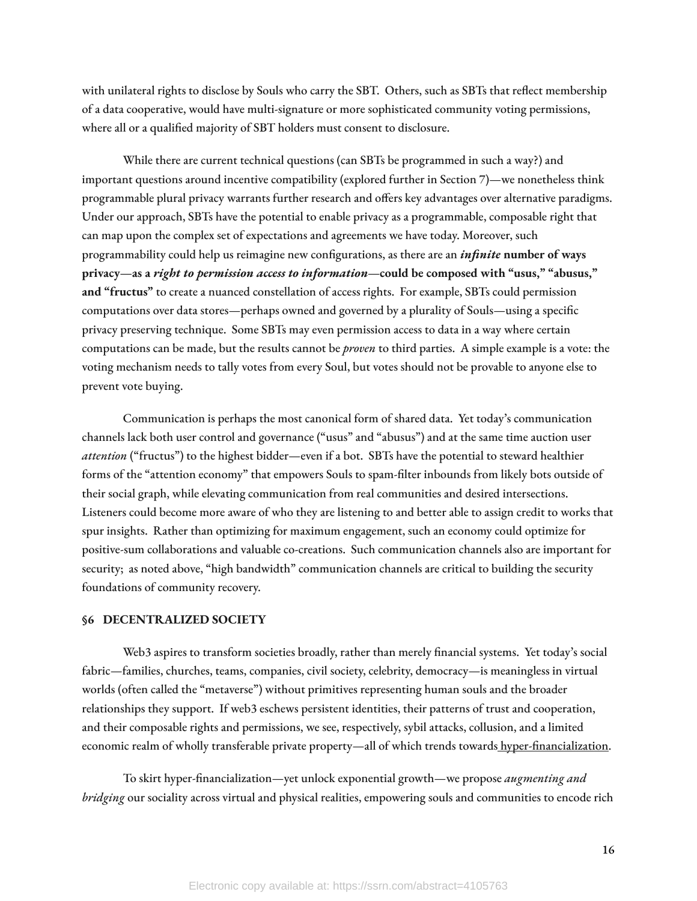with unilateral rights to disclose by Souls who carry the SBT. Others, such as SBTs that reflect membership of a data cooperative, would have multi-signature or more sophisticated community voting permissions, where all or a qualified majority of SBT holders must consent to disclosure.

While there are current technical questions (can SBTs be programmed in such a way?) and important questions around incentive compatibility (explored further in Section 7)—we nonetheless think programmable plural privacy warrants further research and offers key advantages over alternative paradigms. Under our approach, SBTs have the potential to enable privacy as a programmable, composable right that can map upon the complex set of expectations and agreements we have today. Moreover, such programmability could help us reimagine new congurations, as there are an *infinite* **number of ways privacy—as a** *right to permission access to information—***could be composed with "usus," "abusus," and "fructus"** to create a nuanced constellation of access rights. For example, SBTs could permission computations over data stores—perhaps owned and governed by a plurality of Souls—using a specific privacy preserving technique. Some SBTs may even permission access to data in a way where certain computations can be made, but the results cannot be *proven* to third parties. A simple example is a vote: the voting mechanism needs to tally votes from every Soul, but votes should not be provable to anyone else to prevent vote buying.

Communication is perhaps the most canonical form of shared data. Yet today's communication channels lack both user control and governance ("usus" and "abusus") and at the same time auction user *attention* ("fructus") to the highest bidder—even if a bot. SBTs have the potential to steward healthier forms of the "attention economy" that empowers Souls to spam-filter inbounds from likely bots outside of their social graph, while elevating communication from real communities and desired intersections. Listeners could become more aware of who they are listening to and better able to assign credit to works that spur insights. Rather than optimizing for maximum engagement, such an economy could optimize for positive-sum collaborations and valuable co-creations. Such communication channels also are important for security; as noted above, "high bandwidth" communication channels are critical to building the security foundations of community recovery.

# **§6 DECENTRALIZED SOCIETY**

Web3 aspires to transform societies broadly, rather than merely financial systems. Yet today's social fabric—families, churches, teams, companies, civil society, celebrity, democracy—is meaningless in virtual worlds (often called the "metaverse") without primitives representing human souls and the broader relationships they support. If web3 eschews persistent identities, their patterns of trust and cooperation, and their composable rights and permissions, we see, respectively, sybil attacks, collusion, and a limited economic realm of wholly transferable private property—all of which trends towards hyper-financialization.

To skirt hyper-financialization—yet unlock exponential growth—we propose *augmenting and bridging* our sociality across virtual and physical realities, empowering souls and communities to encode rich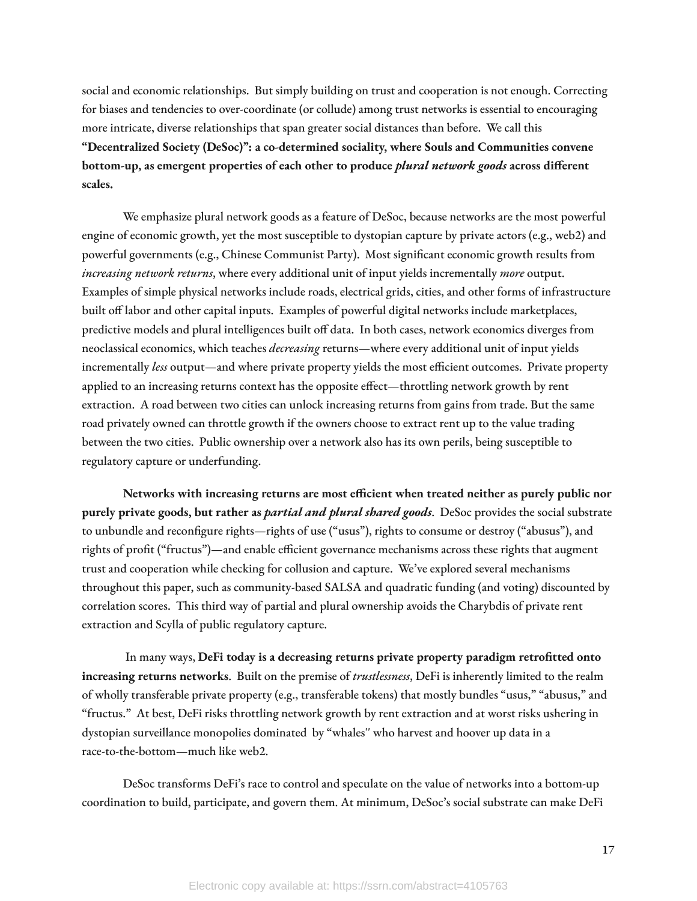social and economic relationships. But simply building on trust and cooperation is not enough. Correcting for biases and tendencies to over-coordinate (or collude) among trust networks is essential to encouraging more intricate, diverse relationships that span greater social distances than before. We call this **"Decentralized Society (DeSoc)": a co-determined sociality, where Souls and Communities convene bottom-up, as emergent properties of each other to produce** *plural network goods* **across dierent scales.**

We emphasize plural network goods as a feature of DeSoc, because networks are the most powerful engine of economic growth, yet the most susceptible to dystopian capture by private actors (e.g., web2) and powerful governments (e.g., Chinese Communist Party). Most significant economic growth results from *increasing network returns*, where every additional unit of input yields incrementally *more* output. Examples of simple physical networks include roads, electrical grids, cities, and other forms of infrastructure built off labor and other capital inputs. Examples of powerful digital networks include marketplaces, predictive models and plural intelligences built off data. In both cases, network economics diverges from neoclassical economics, which teaches *decreasing* returns—where every additional unit of input yields incrementally *less* output—and where private property yields the most efficient outcomes. Private property applied to an increasing returns context has the opposite effect—throttling network growth by rent extraction. A road between two cities can unlock increasing returns from gains from trade. But the same road privately owned can throttle growth if the owners choose to extract rent up to the value trading between the two cities. Public ownership over a network also has its own perils, being susceptible to regulatory capture or underfunding.

**Networks with increasing returns are most ecient when treated neither as purely public nor purely private goods, but rather as** *partial and plural shared goods*. DeSoc provides the social substrate to unbundle and reconfigure rights—rights of use ("usus"), rights to consume or destroy ("abusus"), and rights of profit ("fructus")—and enable efficient governance mechanisms across these rights that augment trust and cooperation while checking for collusion and capture. We've explored several mechanisms throughout this paper, such as community-based SALSA and quadratic funding (and voting) discounted by correlation scores. This third way of partial and plural ownership avoids the Charybdis of private rent extraction and Scylla of public regulatory capture.

In many ways, **DeFi today is a decreasing returns private property paradigm retrotted onto increasing returns networks**. Built on the premise of *trustlessness*, DeFi is inherently limited to the realm of wholly transferable private property (e.g., transferable tokens) that mostly bundles "usus," "abusus," and "fructus." At best, DeFi risks throttling network growth by rent extraction and at worst risks ushering in dystopian surveillance monopolies dominated by "whales'' who harvest and hoover up data in a race-to-the-bottom—much like web2.

DeSoc transforms DeFi's race to control and speculate on the value of networks into a bottom-up coordination to build, participate, and govern them. At minimum, DeSoc's social substrate can make DeFi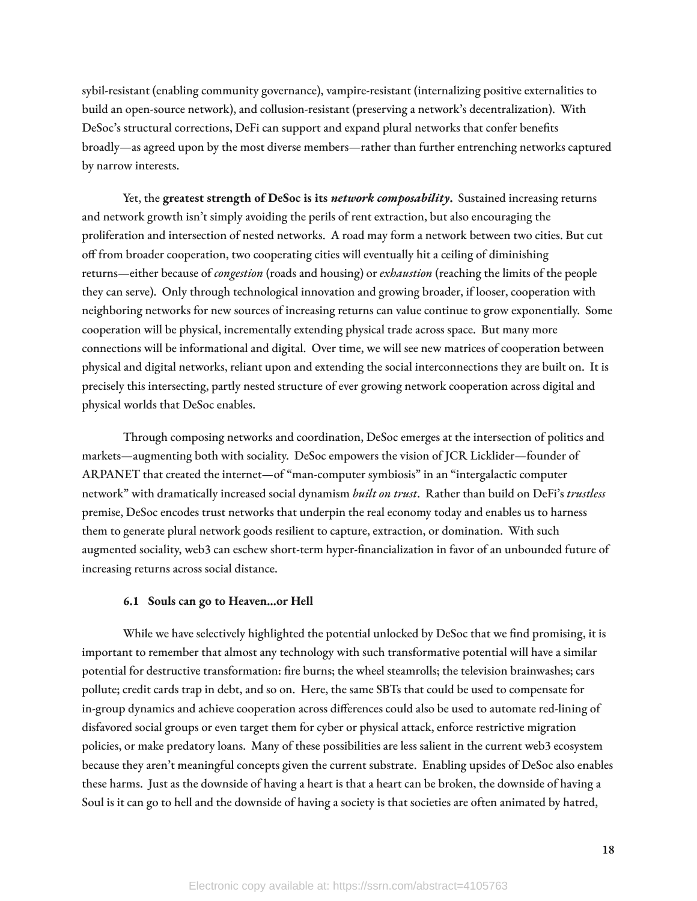sybil-resistant (enabling community governance), vampire-resistant (internalizing positive externalities to build an open-source network), and collusion-resistant (preserving a network's decentralization). With DeSoc's structural corrections, DeFi can support and expand plural networks that confer benefits broadly—as agreed upon by the most diverse members—rather than further entrenching networks captured by narrow interests.

Yet, the **greatest strength of DeSoc is its** *network composability***.** Sustained increasing returns and network growth isn't simply avoiding the perils of rent extraction, but also encouraging the proliferation and intersection of nested networks. A road may form a network between two cities. But cut off from broader cooperation, two cooperating cities will eventually hit a ceiling of diminishing returns—either because of *congestion* (roads and housing) or *exhaustion* (reaching the limits of the people they can serve). Only through technological innovation and growing broader, if looser, cooperation with neighboring networks for new sources of increasing returns can value continue to grow exponentially. Some cooperation will be physical, incrementally extending physical trade across space. But many more connections will be informational and digital. Over time, we will see new matrices of cooperation between physical and digital networks, reliant upon and extending the social interconnections they are built on. It is precisely this intersecting, partly nested structure of ever growing network cooperation across digital and physical worlds that DeSoc enables.

Through composing networks and coordination, DeSoc emerges at the intersection of politics and markets—augmenting both with sociality. DeSoc empowers the vision of JCR Licklider—founder of ARPANET that created the internet—of "man-computer symbiosis" in an "intergalactic computer network" with dramatically increased social dynamism *built on trust*. Rather than build on DeFi's *trustless* premise, DeSoc encodes trust networks that underpin the real economy today and enables us to harness them to generate plural network goods resilient to capture, extraction, or domination. With such augmented sociality, web3 can eschew short-term hyper-financialization in favor of an unbounded future of increasing returns across social distance.

# **6.1 Souls can go to Heaven…or Hell**

While we have selectively highlighted the potential unlocked by DeSoc that we find promising, it is important to remember that almost any technology with such transformative potential will have a similar potential for destructive transformation: fire burns; the wheel steamrolls; the television brainwashes; cars pollute; credit cards trap in debt, and so on. Here, the same SBTs that could be used to compensate for in-group dynamics and achieve cooperation across differences could also be used to automate red-lining of disfavored social groups or even target them for cyber or physical attack, enforce restrictive migration policies, or make predatory loans. Many of these possibilities are less salient in the current web3 ecosystem because they aren't meaningful concepts given the current substrate. Enabling upsides of DeSoc also enables these harms. Just as the downside of having a heart is that a heart can be broken, the downside of having a Soul is it can go to hell and the downside of having a society is that societies are often animated by hatred,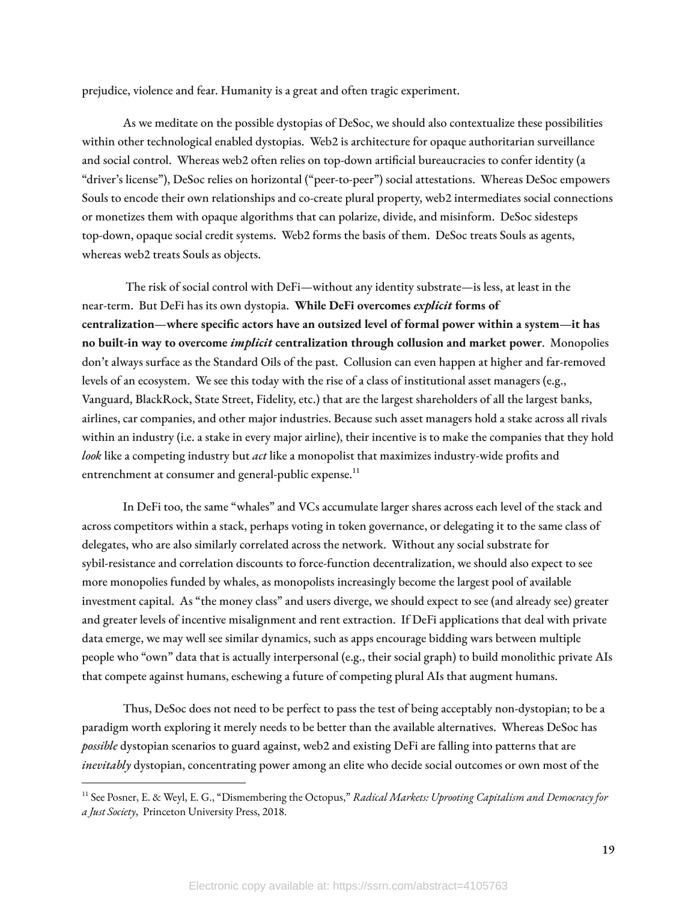prejudice, violence and fear. Humanity is a great and often tragic experiment.

As we meditate on the possible dystopias of DeSoc, we should also contextualize these possibilities within other technological enabled dystopias. Web2 is architecture for opaque authoritarian surveillance and social control. Whereas web2 often relies on top-down artificial bureaucracies to confer identity (a "driver's license"), DeSoc relies on horizontal ("peer-to-peer") social attestations. Whereas DeSoc empowers Souls to encode their own relationships and co-create plural property, web2 intermediates social connections or monetizes them with opaque algorithms that can polarize, divide, and misinform. DeSoc sidesteps top-down, opaque social credit systems. Web2 forms the basis of them. DeSoc treats Souls as agents, whereas web2 treats Souls as objects.

The risk of social control with DeFi—without any identity substrate—is less, at least in the near-term. But DeFi has its own dystopia. **While DeFi overcomes** *explicit* **forms of centralization—where specic actors have an outsized level of formal power within a system—it has no built-in way to overcome** *implicit* **centralization through collusion and market power**. Monopolies don't always surface as the Standard Oils of the past. Collusion can even happen at higher and far-removed levels of an ecosystem. We see this today with the rise of a class of institutional asset managers (e.g., Vanguard, BlackRock, State Street, Fidelity, etc.) that are the largest shareholders of all the largest banks, airlines, car companies, and other major industries. Because such asset managers hold a stake across all rivals within an industry (i.e. a stake in every major airline), their incentive is to make the companies that they hold look like a competing industry but *act* like a monopolist that maximizes industry-wide profits and entrenchment at consumer and general-public expense.<sup>11</sup>

In DeFi too, the same "whales" and VCs accumulate larger shares across each level of the stack and across competitors within a stack, perhaps voting in token governance, or delegating it to the same class of delegates, who are also similarly correlated across the network. Without any social substrate for sybil-resistance and correlation discounts to force-function decentralization, we should also expect to see more monopolies funded by whales, as monopolists increasingly become the largest pool of available investment capital. As "the money class" and users diverge, we should expect to see (and already see) greater and greater levels of incentive misalignment and rent extraction. If DeFi applications that deal with private data emerge, we may well see similar dynamics, such as apps encourage bidding wars between multiple people who "own" data that is actually interpersonal (e.g., their social graph) to build monolithic private AIs that compete against humans, eschewing a future of competing plural AIs that augment humans.

Thus, DeSoc does not need to be perfect to pass the test of being acceptably non-dystopian; to be a paradigm worth exploring it merely needs to be better than the available alternatives. Whereas DeSoc has *possible* dystopian scenarios to guard against, web2 and existing DeFi are falling into patterns that are *inevitably* dystopian, concentrating power among an elite who decide social outcomes or own most of the

<sup>11</sup> See Posner, E. & Weyl, E. G., "Dismembering the Octopus," *Radical Markets: Uprooting Capitalism and Democracy for a Just Society*, Princeton University Press, 2018.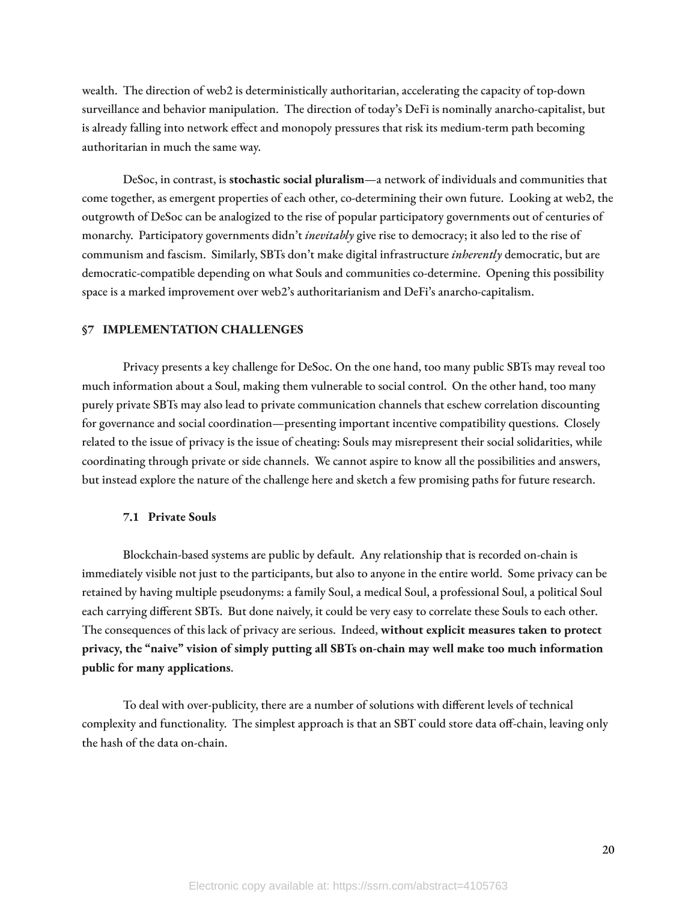wealth. The direction of web2 is deterministically authoritarian, accelerating the capacity of top-down surveillance and behavior manipulation. The direction of today's DeFi is nominally anarcho-capitalist, but is already falling into network effect and monopoly pressures that risk its medium-term path becoming authoritarian in much the same way.

DeSoc, in contrast, is **stochastic social pluralism**—a network of individuals and communities that come together, as emergent properties of each other, co-determining their own future. Looking at web2, the outgrowth of DeSoc can be analogized to the rise of popular participatory governments out of centuries of monarchy. Participatory governments didn't *inevitably* give rise to democracy; it also led to the rise of communism and fascism. Similarly, SBTs don't make digital infrastructure *inherently* democratic, but are democratic-compatible depending on what Souls and communities co-determine. Opening this possibility space is a marked improvement over web2's authoritarianism and DeFi's anarcho-capitalism.

#### **§7 IMPLEMENTATION CHALLENGES**

Privacy presents a key challenge for DeSoc. On the one hand, too many public SBTs may reveal too much information about a Soul, making them vulnerable to social control. On the other hand, too many purely private SBTs may also lead to private communication channels that eschew correlation discounting for governance and social coordination—presenting important incentive compatibility questions. Closely related to the issue of privacy is the issue of cheating: Souls may misrepresent their social solidarities, while coordinating through private or side channels. We cannot aspire to know all the possibilities and answers, but instead explore the nature of the challenge here and sketch a few promising paths for future research.

#### **7.1 Private Souls**

Blockchain-based systems are public by default. Any relationship that is recorded on-chain is immediately visible not just to the participants, but also to anyone in the entire world. Some privacy can be retained by having multiple pseudonyms: a family Soul, a medical Soul, a professional Soul, a political Soul each carrying different SBTs. But done naively, it could be very easy to correlate these Souls to each other. The consequences of this lack of privacy are serious. Indeed, **without explicit measures taken to protect privacy, the "naive" vision of simply putting all SBTs on-chain may well make too much information public for many applications**.

To deal with over-publicity, there are a number of solutions with different levels of technical complexity and functionality. The simplest approach is that an SBT could store data off-chain, leaving only the hash of the data on-chain.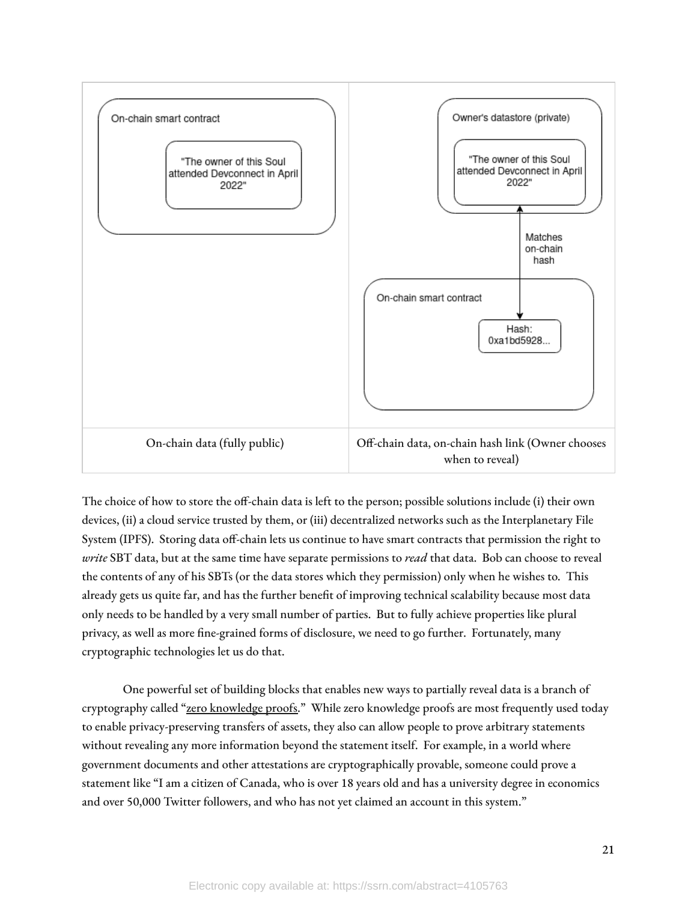

The choice of how to store the off-chain data is left to the person; possible solutions include (i) their own devices, (ii) a cloud service trusted by them, or (iii) decentralized networks such as the Interplanetary File System (IPFS). Storing data off-chain lets us continue to have smart contracts that permission the right to *write* SBT data, but at the same time have separate permissions to *read* that data. Bob can choose to reveal the contents of any of his SBTs (or the data stores which they permission) only when he wishes to. This already gets us quite far, and has the further benefit of improving technical scalability because most data only needs to be handled by a very small number of parties. But to fully achieve properties like plural privacy, as well as more fine-grained forms of disclosure, we need to go further. Fortunately, many cryptographic technologies let us do that.

One powerful set of building blocks that enables new ways to partially reveal data is a branch of cryptography called "zero [knowledge](https://vitalik.ca/general/2021/01/26/snarks.html) proofs." While zero knowledge proofs are most frequently used today to enable privacy-preserving transfers of assets, they also can allow people to prove arbitrary statements without revealing any more information beyond the statement itself. For example, in a world where government documents and other attestations are cryptographically provable, someone could prove a statement like "I am a citizen of Canada, who is over 18 years old and has a university degree in economics and over 50,000 Twitter followers, and who has not yet claimed an account in this system."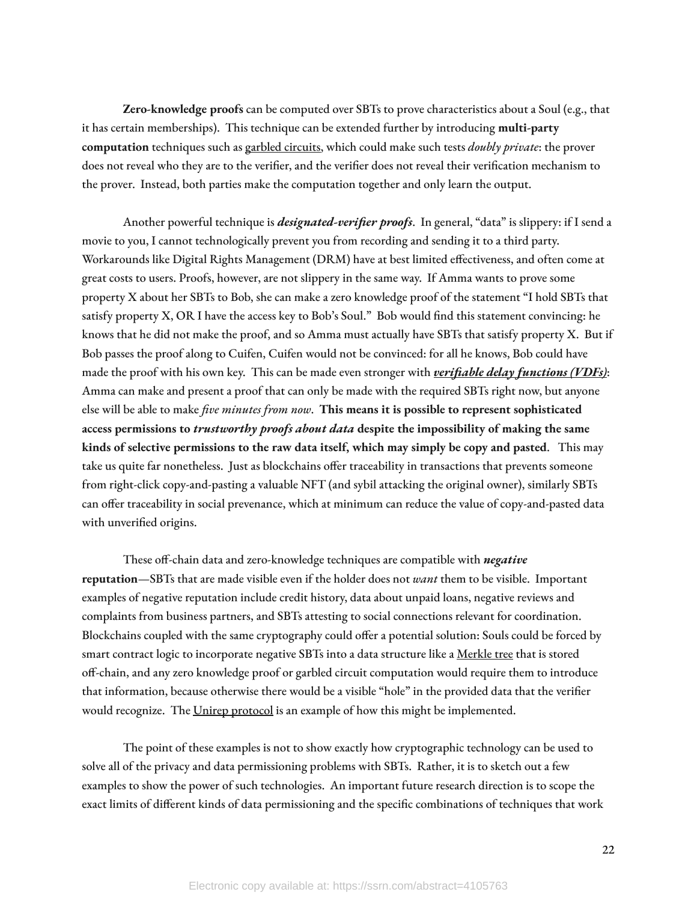**Zero-knowledge proofs** can be computed over SBTs to prove characteristics about a Soul (e.g., that it has certain memberships). This technique can be extended further by introducing **multi-party computation** techniques such as garbled [circuits,](https://vitalik.ca/general/2020/03/21/garbled.html) which could make such tests *doubly private*: the prover does not reveal who they are to the verifier, and the verifier does not reveal their verification mechanism to the prover. Instead, both parties make the computation together and only learn the output.

Another powerful technique is *designated-verifier proofs*. In general, "data" is slippery: if I send a movie to you, I cannot technologically prevent you from recording and sending it to a third party. Workarounds like Digital Rights Management (DRM) have at best limited effectiveness, and often come at great costs to users. Proofs, however, are not slippery in the same way. If Amma wants to prove some property X about her SBTs to Bob, she can make a zero knowledge proof of the statement "I hold SBTs that satisfy property X, OR I have the access key to Bob's Soul." Bob would find this statement convincing: he knows that he did not make the proof, and so Amma must actually have SBTs that satisfy property X. But if Bob passes the proof along to Cuifen, Cuifen would not be convinced: for all he knows, Bob could have made the proof with his own key. This can be made even stronger with *[verifiable](https://eprint.iacr.org/2018/601.pdf) delay functions (VDFs)*: Amma can make and present a proof that can only be made with the required SBTs right now, but anyone else will be able to make *five minutes from now*. **This means it is possible to represent sophisticated access permissions to** *trustworthy proofs about data* **despite the impossibility of making the same kinds of selective permissions to the raw data itself, which may simply be copy and pasted**. This may take us quite far nonetheless. Just as blockchains offer traceability in transactions that prevents someone from right-click copy-and-pasting a valuable NFT (and sybil attacking the original owner), similarly SBTs can offer traceability in social prevenance, which at minimum can reduce the value of copy-and-pasted data with unverified origins.

These off-chain data and zero-knowledge techniques are compatible with *negative* **reputation**—SBTs that are made visible even if the holder does not *want* them to be visible. Important examples of negative reputation include credit history, data about unpaid loans, negative reviews and complaints from business partners, and SBTs attesting to social connections relevant for coordination. Blockchains coupled with the same cryptography could offer a potential solution: Souls could be forced by smart contract logic to incorporate negative SBTs into a data structure like a [Merkle](https://en.wikipedia.org/wiki/Merkle_tree) tree that is stored off-chain, and any zero knowledge proof or garbled circuit computation would require them to introduce that information, because otherwise there would be a visible "hole" in the provided data that the verifier would recognize. The Unirep [protocol](https://medium.com/privacy-scaling-explorations/unirep-a-private-and-non-repudiable-reputation-system-7fb5c6478549) is an example of how this might be implemented.

The point of these examples is not to show exactly how cryptographic technology can be used to solve all of the privacy and data permissioning problems with SBTs. Rather, it is to sketch out a few examples to show the power of such technologies. An important future research direction is to scope the exact limits of different kinds of data permissioning and the specific combinations of techniques that work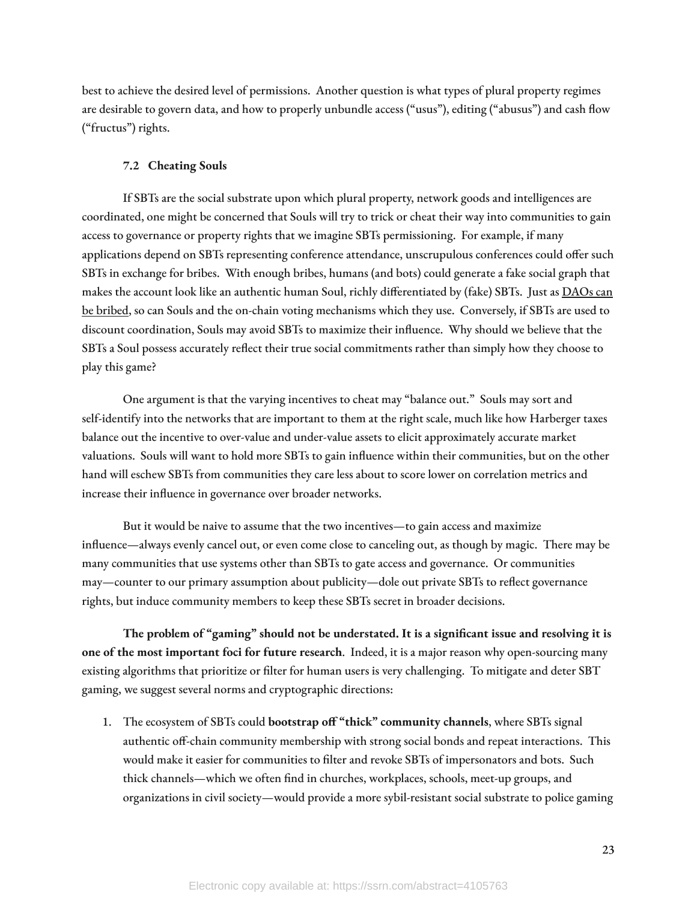best to achieve the desired level of permissions. Another question is what types of plural property regimes are desirable to govern data, and how to properly unbundle access ("usus"), editing ("abusus") and cash flow ("fructus") rights.

#### **7.2 Cheating Souls**

If SBTs are the social substrate upon which plural property, network goods and intelligences are coordinated, one might be concerned that Souls will try to trick or cheat their way into communities to gain access to governance or property rights that we imagine SBTs permissioning. For example, if many applications depend on SBTs representing conference attendance, unscrupulous conferences could offer such SBTs in exchange for bribes. With enough bribes, humans (and bots) could generate a fake social graph that makes the account look like an authentic human Soul, richly differentiated by (fake) SBTs. Just as **[DAOs](https://hackingdistributed.com/2018/07/02/on-chain-vote-buying/) can** be [bribed](https://hackingdistributed.com/2018/07/02/on-chain-vote-buying/), so can Souls and the on-chain voting mechanisms which they use. Conversely, if SBTs are used to discount coordination, Souls may avoid SBTs to maximize their influence. Why should we believe that the SBTs a Soul possess accurately reflect their true social commitments rather than simply how they choose to play this game?

One argument is that the varying incentives to cheat may "balance out." Souls may sort and self-identify into the networks that are important to them at the right scale, much like how Harberger taxes balance out the incentive to over-value and under-value assets to elicit approximately accurate market valuations. Souls will want to hold more SBTs to gain influence within their communities, but on the other hand will eschew SBTs from communities they care less about to score lower on correlation metrics and increase their influence in governance over broader networks.

But it would be naive to assume that the two incentives—to gain access and maximize influence—always evenly cancel out, or even come close to canceling out, as though by magic. There may be many communities that use systems other than SBTs to gate access and governance. Or communities may—counter to our primary assumption about publicity—dole out private SBTs to reflect governance rights, but induce community members to keep these SBTs secret in broader decisions.

**The problem of "gaming" should not be understated. It is a signicant issue and resolving it is one of the most important foci for future research**. Indeed, it is a major reason why open-sourcing many existing algorithms that prioritize or filter for human users is very challenging. To mitigate and deter SBT gaming, we suggest several norms and cryptographic directions:

1. The ecosystem of SBTs could **bootstrap off "thick" community channels**, where SBTs signal authentic off-chain community membership with strong social bonds and repeat interactions. This would make it easier for communities to filter and revoke SBTs of impersonators and bots. Such thick channels—which we often find in churches, workplaces, schools, meet-up groups, and organizations in civil society—would provide a more sybil-resistant social substrate to police gaming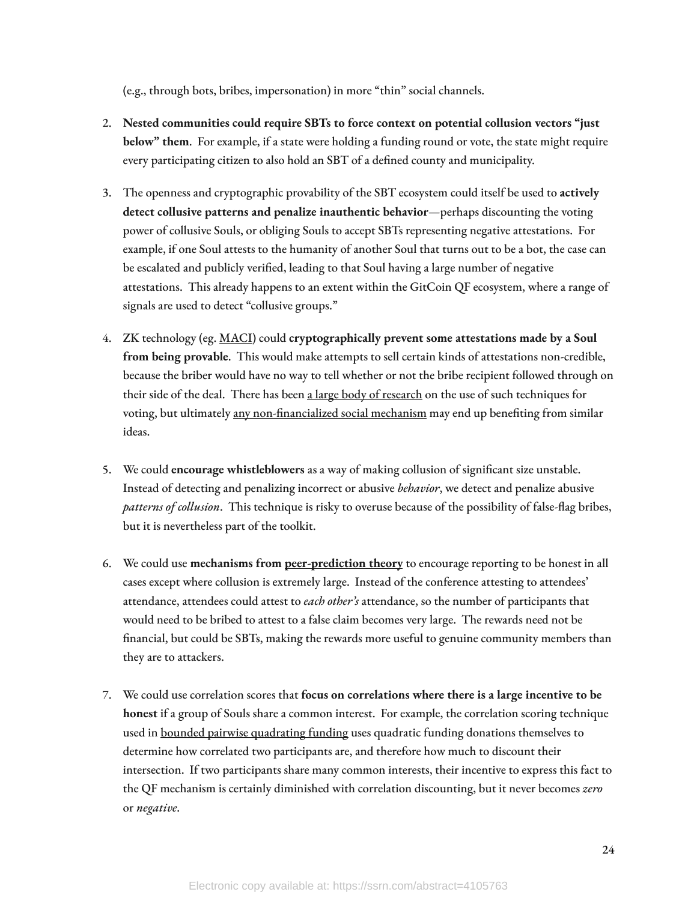(e.g., through bots, bribes, impersonation) in more "thin" social channels.

- 2. **Nested communities could require SBTs to force context on potential collusion vectors "just below" them**. For example, if a state were holding a funding round or vote, the state might require every participating citizen to also hold an SBT of a defined county and municipality.
- 3. The openness and cryptographic provability of the SBT ecosystem could itself be used to **actively detect collusive patterns and penalize inauthentic behavior**—perhaps discounting the voting power of collusive Souls, or obliging Souls to accept SBTs representing negative attestations. For example, if one Soul attests to the humanity of another Soul that turns out to be a bot, the case can be escalated and publicly verified, leading to that Soul having a large number of negative attestations. This already happens to an extent within the GitCoin QF ecosystem, where a range of signals are used to detect "collusive groups."
- 4. ZK technology (eg. [MACI\)](https://github.com/appliedzkp/maci) could **cryptographically prevent some attestations made by a Soul from being provable**. This would make attempts to sell certain kinds of attestations non-credible, because the briber would have no way to tell whether or not the bribe recipient followed through on their side of the deal. There has been a large body of [research](https://vitalik.ca/general/2021/05/25/voting2.html) on the use of such techniques for voting, but ultimately any non-financialized social mechanism may end up benefiting from similar ideas.
- 5. We could **encourage whistleblowers** as a way of making collusion of signicant size unstable. Instead of detecting and penalizing incorrect or abusive *behavior*, we detect and penalize abusive *patterns of collusion*. This technique is risky to overuse because of the possibility of false-flag bribes, but it is nevertheless part of the toolkit.
- 6. We could use **mechanisms from [peer-prediction](https://pubsonline.informs.org/doi/abs/10.1287/mnsc.1050.0379) theory** to encourage reporting to be honest in all cases except where collusion is extremely large. Instead of the conference attesting to attendees' attendance, attendees could attest to *each other's* attendance, so the number of participants that would need to be bribed to attest to a false claim becomes very large. The rewards need not be financial, but could be SBTs, making the rewards more useful to genuine community members than they are to attackers.
- 7. We could use correlation scores that **focus on correlations where there is a large incentive to be honest** if a group of Souls share a common interest. For example, the correlation scoring technique used in bounded pairwise [quadrating](https://ethresear.ch/t/pairwise-coordination-subsidies-a-new-quadratic-funding-design/5553) funding uses quadratic funding donations themselves to determine how correlated two participants are, and therefore how much to discount their intersection. If two participants share many common interests, their incentive to express this fact to the QF mechanism is certainly diminished with correlation discounting, but it never becomes *zero* or *negative*.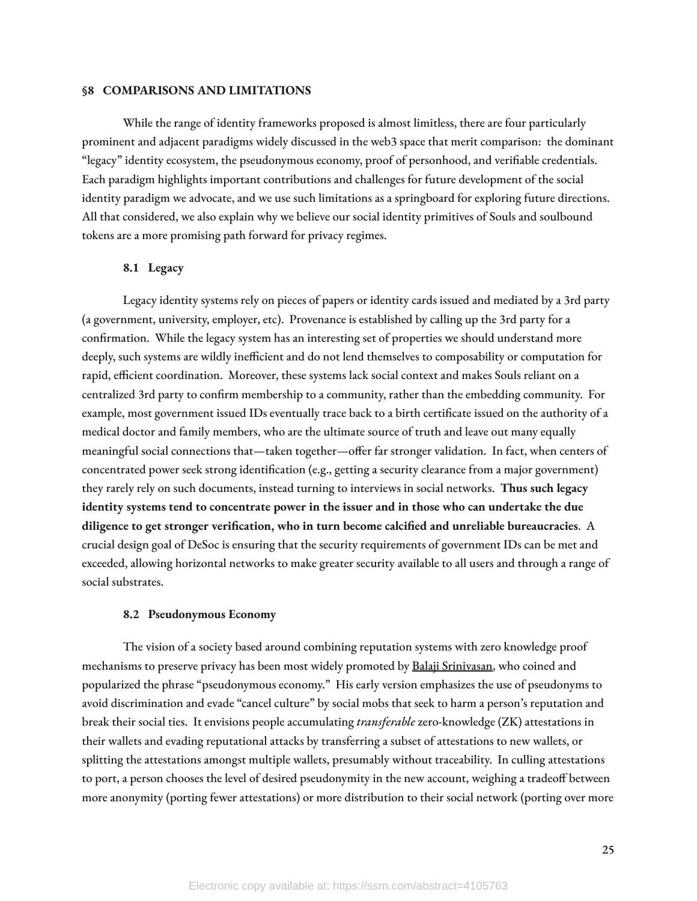# **§8 COMPARISONS AND LIMITATIONS**

While the range of identity frameworks proposed is almost limitless, there are four particularly prominent and adjacent paradigms widely discussed in the web3 space that merit comparison: the dominant "legacy" identity ecosystem, the pseudonymous economy, proof of personhood, and verifiable credentials. Each paradigm highlights important contributions and challenges for future development of the social identity paradigm we advocate, and we use such limitations as a springboard for exploring future directions. All that considered, we also explain why we believe our social identity primitives of Souls and soulbound tokens are a more promising path forward for privacy regimes.

## **8.1 Legacy**

Legacy identity systems rely on pieces of papers or identity cards issued and mediated by a 3rd party (a government, university, employer, etc). Provenance is established by calling up the 3rd party for a confirmation. While the legacy system has an interesting set of properties we should understand more deeply, such systems are wildly inefficient and do not lend themselves to composability or computation for rapid, efficient coordination. Moreover, these systems lack social context and makes Souls reliant on a centralized 3rd party to confirm membership to a community, rather than the embedding community. For example, most government issued IDs eventually trace back to a birth certificate issued on the authority of a medical doctor and family members, who are the ultimate source of truth and leave out many equally meaningful social connections that—taken together—offer far stronger validation. In fact, when centers of concentrated power seek strong identification (e.g., getting a security clearance from a major government) they rarely rely on such documents, instead turning to interviews in social networks. **Thus such legacy identity systems tend to concentrate power in the issuer and in those who can undertake the due diligence to get stronger verication, who in turn become calcied and unreliable bureaucracies**. A crucial design goal of DeSoc is ensuring that the security requirements of government IDs can be met and exceeded, allowing horizontal networks to make greater security available to all users and through a range of social substrates.

#### **8.2 Pseudonymous Economy**

The vision of a society based around combining reputation systems with zero knowledge proof mechanisms to preserve privacy has been most widely promoted by Balaji [Srinivasan,](http://www.marknagelberg.com/notes-on-the-pseudonymous-economy-balaji-srinivasan/) who coined and popularized the phrase "pseudonymous economy." His early version emphasizes the use of pseudonyms to avoid discrimination and evade "cancel culture" by social mobs that seek to harm a person's reputation and break their social ties. It envisions people accumulating *transferable* zero-knowledge (ZK) attestations in their wallets and evading reputational attacks by transferring a subset of attestations to new wallets, or splitting the attestations amongst multiple wallets, presumably without traceability. In culling attestations to port, a person chooses the level of desired pseudonymity in the new account, weighing a tradeoff between more anonymity (porting fewer attestations) or more distribution to their social network (porting over more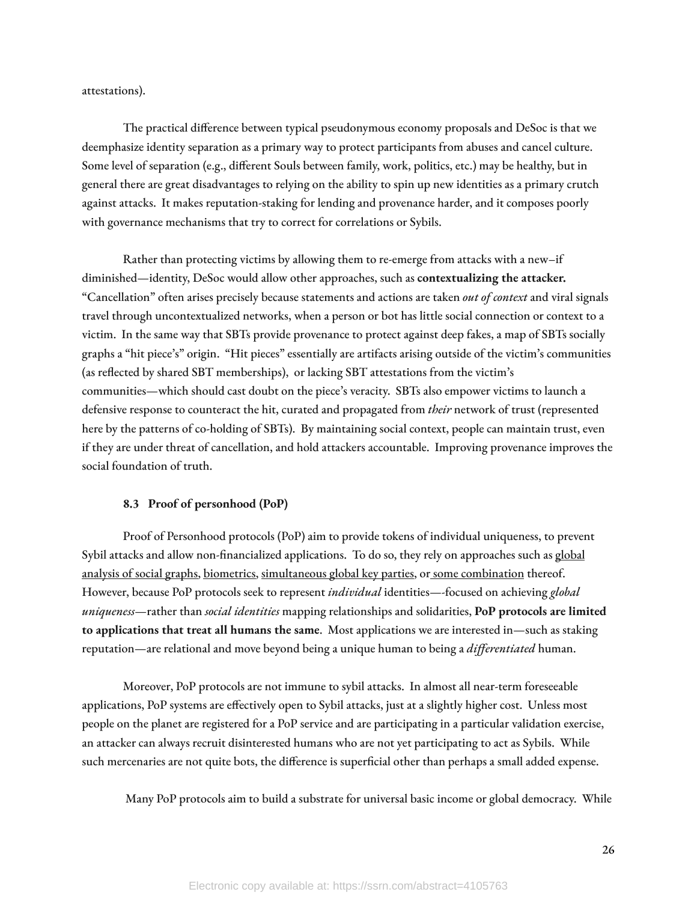attestations).

The practical difference between typical pseudonymous economy proposals and DeSoc is that we deemphasize identity separation as a primary way to protect participants from abuses and cancel culture. Some level of separation (e.g., different Souls between family, work, politics, etc.) may be healthy, but in general there are great disadvantages to relying on the ability to spin up new identities as a primary crutch against attacks. It makes reputation-staking for lending and provenance harder, and it composes poorly with governance mechanisms that try to correct for correlations or Sybils.

Rather than protecting victims by allowing them to re-emerge from attacks with a new–if diminished—identity, DeSoc would allow other approaches, such as **contextualizing the attacker.** "Cancellation" often arises precisely because statements and actions are taken *out of context* and viral signals travel through uncontextualized networks, when a person or bot has little social connection or context to a victim. In the same way that SBTs provide provenance to protect against deep fakes, a map of SBTs socially graphs a "hit piece's" origin. "Hit pieces" essentially are artifacts arising outside of the victim's communities (as reflected by shared SBT memberships), or lacking SBT attestations from the victim's communities—which should cast doubt on the piece's veracity. SBTs also empower victims to launch a defensive response to counteract the hit, curated and propagated from *their* network of trust (represented here by the patterns of co-holding of SBTs). By maintaining social context, people can maintain trust, even if they are under threat of cancellation, and hold attackers accountable. Improving provenance improves the social foundation of truth.

## **8.3 Proof of personhood (PoP)**

Proof of Personhood protocols (PoP) aim to provide tokens of individual uniqueness, to prevent Sybil attacks and allow non-financialized applications. To do so, they rely on approaches such as **[global](https://www.brightid.org/)** [analysis](https://www.brightid.org/) of social graphs, [biometrics,](https://worldcoin.org/) [simultaneous](https://arxiv.org/abs/2011.02412) global key parties, or some [combination](https://www.proofofhumanity.id/) thereof. However, because PoP protocols seek to represent *individual* identities—-focused on achieving *global uniqueness*—rather than *social identities* mapping relationships and solidarities, **PoP protocols are limited to applications that treat all humans the same**. Most applications we are interested in—such as staking reputation—are relational and move beyond being a unique human to being a *differentiated* human.

Moreover, PoP protocols are not immune to sybil attacks. In almost all near-term foreseeable applications, PoP systems are effectively open to Sybil attacks, just at a slightly higher cost. Unless most people on the planet are registered for a PoP service and are participating in a particular validation exercise, an attacker can always recruit disinterested humans who are not yet participating to act as Sybils. While such mercenaries are not quite bots, the difference is superficial other than perhaps a small added expense.

Many PoP protocols aim to build a substrate for universal basic income or global democracy. While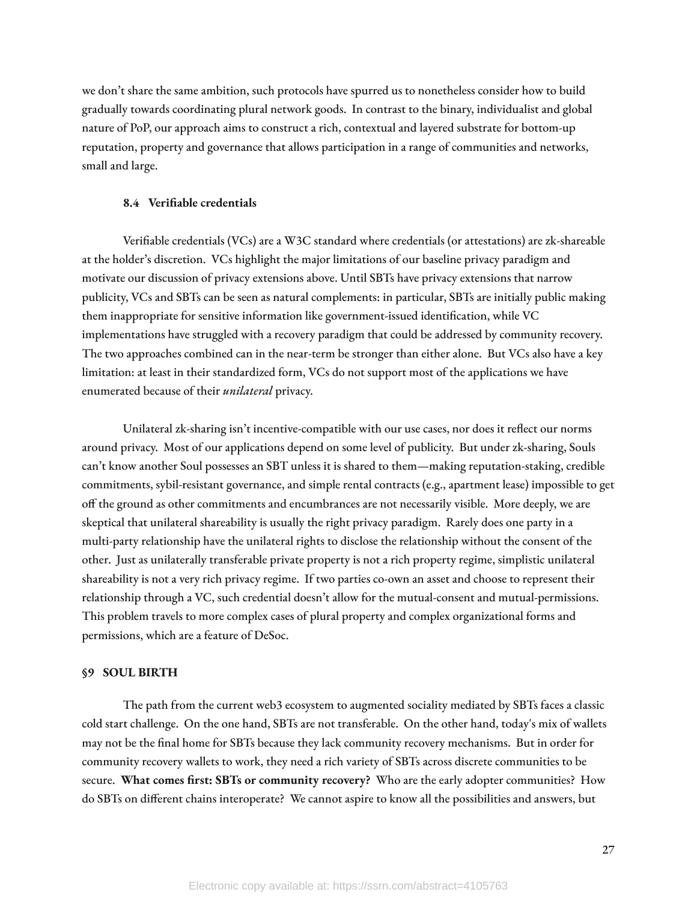we don't share the same ambition, such protocols have spurred us to nonetheless consider how to build gradually towards coordinating plural network goods. In contrast to the binary, individualist and global nature of PoP, our approach aims to construct a rich, contextual and layered substrate for bottom-up reputation, property and governance that allows participation in a range of communities and networks, small and large.

#### **8.4 Veriable credentials**

Verifiable credentials (VCs) are a W3C standard where credentials (or attestations) are zk-shareable at the holder's discretion. VCs highlight the major limitations of our baseline privacy paradigm and motivate our discussion of privacy extensions above. Until SBTs have privacy extensions that narrow publicity, VCs and SBTs can be seen as natural complements: in particular, SBTs are initially public making them inappropriate for sensitive information like government-issued identification, while VC implementations have struggled with a recovery paradigm that could be addressed by community recovery. The two approaches combined can in the near-term be stronger than either alone. But VCs also have a key limitation: at least in their standardized form, VCs do not support most of the applications we have enumerated because of their *unilateral* privacy.

Unilateral zk-sharing isn't incentive-compatible with our use cases, nor does it reflect our norms around privacy. Most of our applications depend on some level of publicity. But under zk-sharing, Souls can't know another Soul possesses an SBT unless it is shared to them—making reputation-staking, credible commitments, sybil-resistant governance, and simple rental contracts (e.g., apartment lease) impossible to get off the ground as other commitments and encumbrances are not necessarily visible. More deeply, we are skeptical that unilateral shareability is usually the right privacy paradigm. Rarely does one party in a multi-party relationship have the unilateral rights to disclose the relationship without the consent of the other. Just as unilaterally transferable private property is not a rich property regime, simplistic unilateral shareability is not a very rich privacy regime. If two parties co-own an asset and choose to represent their relationship through a VC, such credential doesn't allow for the mutual-consent and mutual-permissions. This problem travels to more complex cases of plural property and complex organizational forms and permissions, which are a feature of DeSoc.

#### **§9 SOUL BIRTH**

The path from the current web3 ecosystem to augmented sociality mediated by SBTs faces a classic cold start challenge. On the one hand, SBTs are not transferable. On the other hand, today's mix of wallets may not be the final home for SBTs because they lack community recovery mechanisms. But in order for community recovery wallets to work, they need a rich variety of SBTs across discrete communities to be secure. **What comes rst: SBTs or community recovery?** Who are the early adopter communities? How do SBTs on different chains interoperate? We cannot aspire to know all the possibilities and answers, but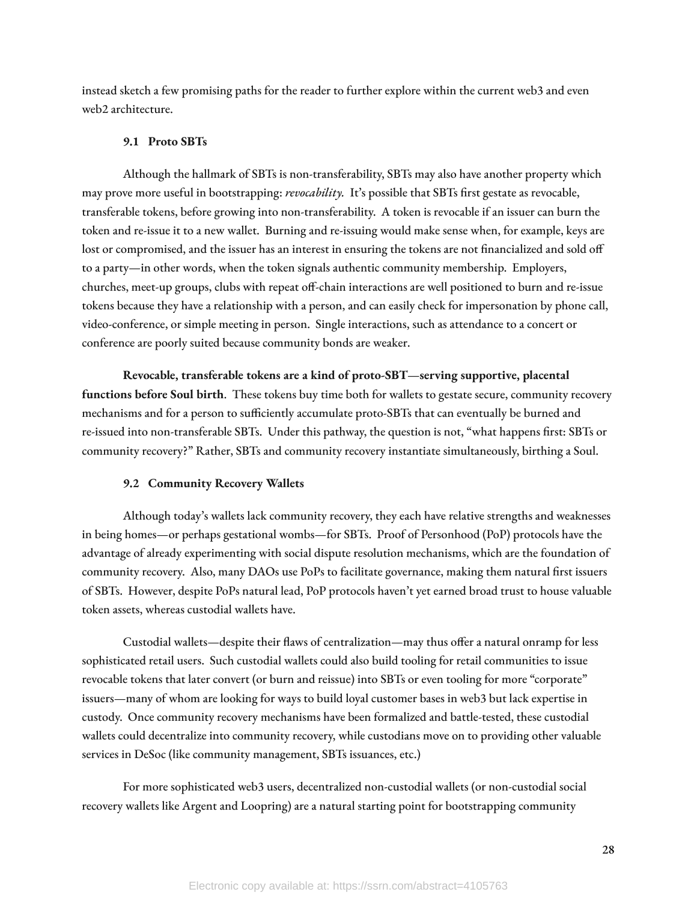instead sketch a few promising paths for the reader to further explore within the current web3 and even web2 architecture.

#### **9.1 Proto SBTs**

Although the hallmark of SBTs is non-transferability, SBTs may also have another property which may prove more useful in bootstrapping: *revocability*. It's possible that SBTs first gestate as revocable, transferable tokens, before growing into non-transferability. A token is revocable if an issuer can burn the token and re-issue it to a new wallet. Burning and re-issuing would make sense when, for example, keys are lost or compromised, and the issuer has an interest in ensuring the tokens are not financialized and sold off to a party—in other words, when the token signals authentic community membership. Employers, churches, meet-up groups, clubs with repeat off-chain interactions are well positioned to burn and re-issue tokens because they have a relationship with a person, and can easily check for impersonation by phone call, video-conference, or simple meeting in person. Single interactions, such as attendance to a concert or conference are poorly suited because community bonds are weaker.

**Revocable, transferable tokens are a kind of proto-SBT—serving supportive, placental functions before Soul birth**. These tokens buy time both for wallets to gestate secure, community recovery mechanisms and for a person to sufficiently accumulate proto-SBTs that can eventually be burned and re-issued into non-transferable SBTs. Under this pathway, the question is not, "what happens first: SBTs or community recovery?" Rather, SBTs and community recovery instantiate simultaneously, birthing a Soul.

#### **9.2 Community Recovery Wallets**

Although today's wallets lack community recovery, they each have relative strengths and weaknesses in being homes—or perhaps gestational wombs—for SBTs. Proof of Personhood (PoP) protocols have the advantage of already experimenting with social dispute resolution mechanisms, which are the foundation of community recovery. Also, many DAOs use PoPs to facilitate governance, making them natural first issuers of SBTs. However, despite PoPs natural lead, PoP protocols haven't yet earned broad trust to house valuable token assets, whereas custodial wallets have.

Custodial wallets—despite their flaws of centralization—may thus offer a natural onramp for less sophisticated retail users. Such custodial wallets could also build tooling for retail communities to issue revocable tokens that later convert (or burn and reissue) into SBTs or even tooling for more "corporate" issuers—many of whom are looking for ways to build loyal customer bases in web3 but lack expertise in custody. Once community recovery mechanisms have been formalized and battle-tested, these custodial wallets could decentralize into community recovery, while custodians move on to providing other valuable services in DeSoc (like community management, SBTs issuances, etc.)

For more sophisticated web3 users, decentralized non-custodial wallets (or non-custodial social recovery wallets like Argent and Loopring) are a natural starting point for bootstrapping community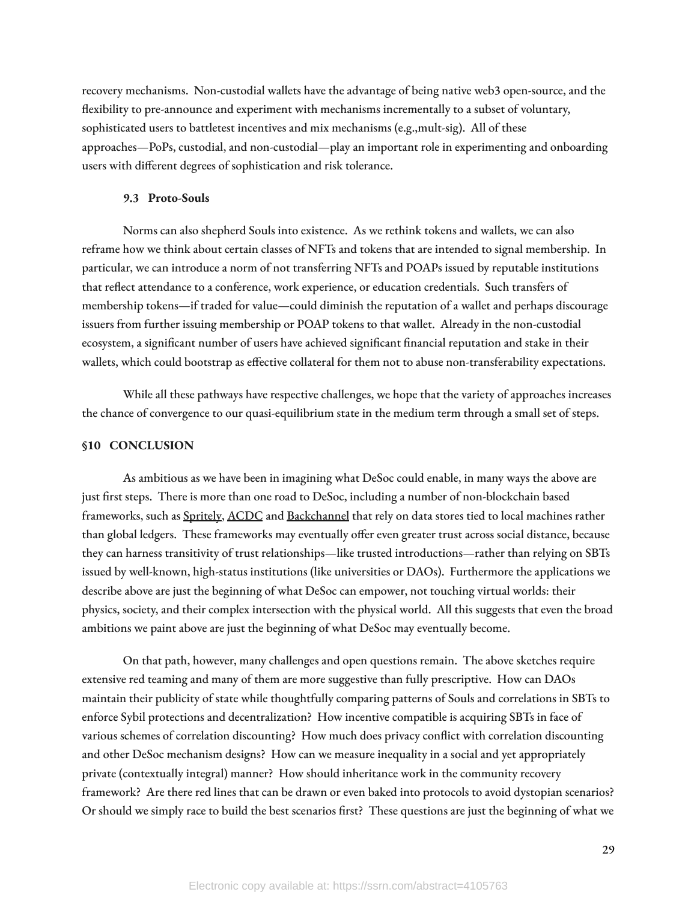recovery mechanisms. Non-custodial wallets have the advantage of being native web3 open-source, and the flexibility to pre-announce and experiment with mechanisms incrementally to a subset of voluntary, sophisticated users to battletest incentives and mix mechanisms (e.g.,mult-sig). All of these approaches—PoPs, custodial, and non-custodial—play an important role in experimenting and onboarding users with different degrees of sophistication and risk tolerance.

#### **9.3 Proto-Souls**

Norms can also shepherd Souls into existence. As we rethink tokens and wallets, we can also reframe how we think about certain classes of NFTs and tokens that are intended to signal membership. In particular, we can introduce a norm of not transferring NFTs and POAPs issued by reputable institutions that reflect attendance to a conference, work experience, or education credentials. Such transfers of membership tokens—if traded for value—could diminish the reputation of a wallet and perhaps discourage issuers from further issuing membership or POAP tokens to that wallet. Already in the non-custodial ecosystem, a significant number of users have achieved significant financial reputation and stake in their wallets, which could bootstrap as effective collateral for them not to abuse non-transferability expectations.

While all these pathways have respective challenges, we hope that the variety of approaches increases the chance of convergence to our quasi-equilibrium state in the medium term through a small set of steps.

### **§10 CONCLUSION**

As ambitious as we have been in imagining what DeSoc could enable, in many ways the above are just first steps. There is more than one road to DeSoc, including a number of non-blockchain based frameworks, such as [Spritely,](https://spritelyproject.org/) [ACDC](https://www.ietf.org/id/draft-ssmith-acdc-00.html) and [Backchannel](https://www.inkandswitch.com/backchannel/) that rely on data stores tied to local machines rather than global ledgers. These frameworks may eventually offer even greater trust across social distance, because they can harness transitivity of trust relationships—like trusted introductions—rather than relying on SBTs issued by well-known, high-status institutions (like universities or DAOs). Furthermore the applications we describe above are just the beginning of what DeSoc can empower, not touching virtual worlds: their physics, society, and their complex intersection with the physical world. All this suggests that even the broad ambitions we paint above are just the beginning of what DeSoc may eventually become.

On that path, however, many challenges and open questions remain. The above sketches require extensive red teaming and many of them are more suggestive than fully prescriptive. How can DAOs maintain their publicity of state while thoughtfully comparing patterns of Souls and correlations in SBTs to enforce Sybil protections and decentralization? How incentive compatible is acquiring SBTs in face of various schemes of correlation discounting? How much does privacy conflict with correlation discounting and other DeSoc mechanism designs? How can we measure inequality in a social and yet appropriately private (contextually integral) manner? How should inheritance work in the community recovery framework? Are there red lines that can be drawn or even baked into protocols to avoid dystopian scenarios? Or should we simply race to build the best scenarios first? These questions are just the beginning of what we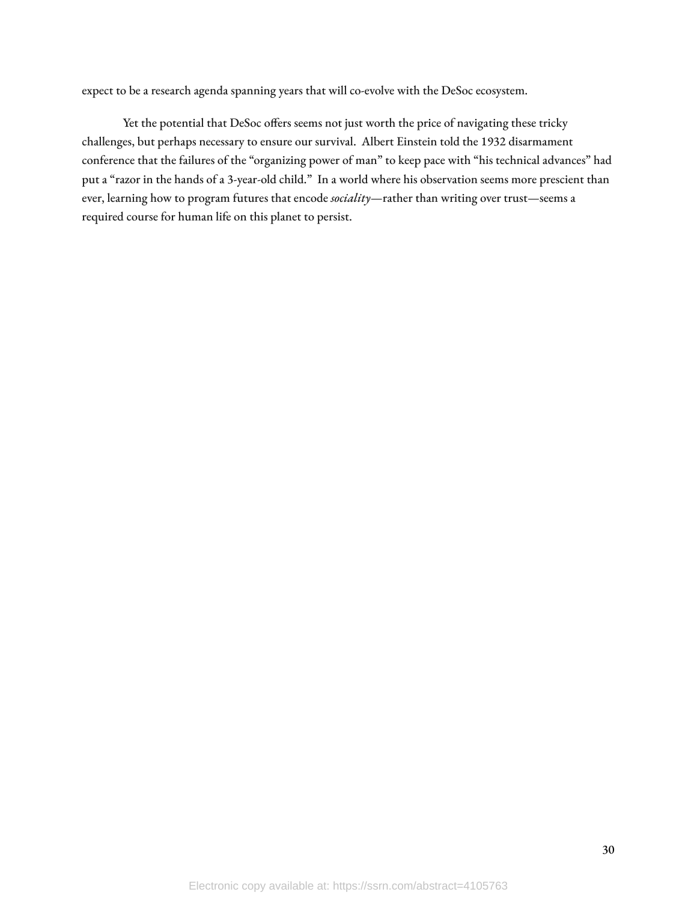expect to be a research agenda spanning years that will co-evolve with the DeSoc ecosystem.

Yet the potential that DeSoc offers seems not just worth the price of navigating these tricky challenges, but perhaps necessary to ensure our survival. Albert Einstein told the 1932 disarmament conference that the failures of the "organizing power of man" to keep pace with "his technical advances" had put a "razor in the hands of a 3-year-old child." In a world where his observation seems more prescient than ever, learning how to program futures that encode *sociality*—rather than writing over trust—seems a required course for human life on this planet to persist.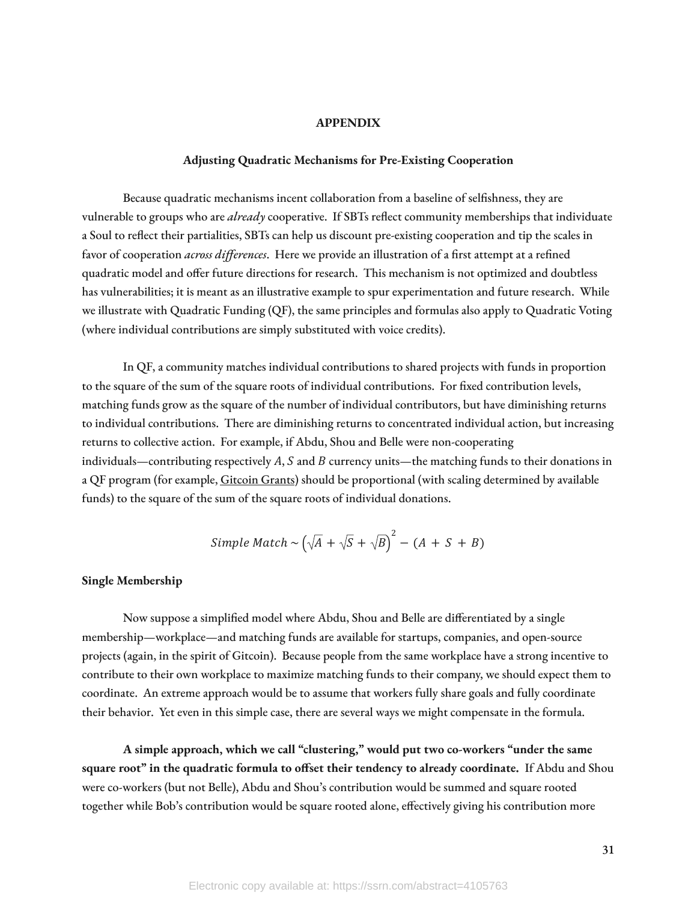#### **APPENDIX**

#### **Adjusting Quadratic Mechanisms for Pre-Existing Cooperation**

Because quadratic mechanisms incent collaboration from a baseline of selfishness, they are vulnerable to groups who are *already* cooperative. If SBTs reflect community memberships that individuate a Soul to reflect their partialities, SBTs can help us discount pre-existing cooperation and tip the scales in favor of cooperation *across differences*. Here we provide an illustration of a first attempt at a refined quadratic model and offer future directions for research. This mechanism is not optimized and doubtless has vulnerabilities; it is meant as an illustrative example to spur experimentation and future research. While we illustrate with Quadratic Funding (QF), the same principles and formulas also apply to Quadratic Voting (where individual contributions are simply substituted with voice credits).

In QF, a community matches individual contributions to shared projects with funds in proportion to the square of the sum of the square roots of individual contributions. For fixed contribution levels, matching funds grow as the square of the number of individual contributors, but have diminishing returns to individual contributions. There are diminishing returns to concentrated individual action, but increasing returns to collective action. For example, if Abdu, Shou and Belle were non-cooperating individuals—contributing respectively  $A$ ,  $S$  and  $B$  currency units—the matching funds to their donations in a QF program (for example, [Gitcoin](https://gitcoin.co/grants/) Grants) should be proportional (with scaling determined by available funds) to the square of the sum of the square roots of individual donations.

Simple Match ~ 
$$
(\sqrt{A} + \sqrt{S} + \sqrt{B})^2 - (A + S + B)
$$

## **Single Membership**

Now suppose a simplified model where Abdu, Shou and Belle are differentiated by a single membership—workplace—and matching funds are available for startups, companies, and open-source projects (again, in the spirit of Gitcoin). Because people from the same workplace have a strong incentive to contribute to their own workplace to maximize matching funds to their company, we should expect them to coordinate. An extreme approach would be to assume that workers fully share goals and fully coordinate their behavior. Yet even in this simple case, there are several ways we might compensate in the formula.

**A simple approach, which we call "clustering," would put two co-workers "under the same square root" in the quadratic formula to oset their tendency to already coordinate.** If Abdu and Shou were co-workers (but not Belle), Abdu and Shou's contribution would be summed and square rooted together while Bob's contribution would be square rooted alone, effectively giving his contribution more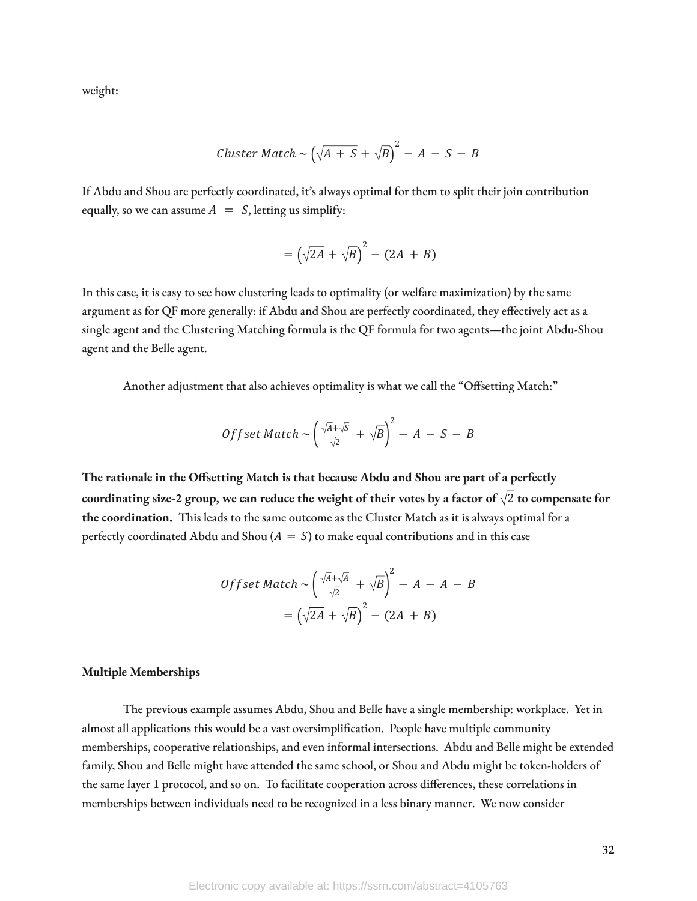weight:

Cluster Match ~ 
$$
\left(\sqrt{A + S} + \sqrt{B}\right)^2 - A - S - B
$$

If Abdu and Shou are perfectly coordinated, it's always optimal for them to split their join contribution equally, so we can assume  $A = S$ , letting us simplify:

$$
= \left(\sqrt{2A} + \sqrt{B}\right)^2 - (2A + B)
$$

In this case, it is easy to see how clustering leads to optimality (or welfare maximization) by the same argument as for QF more generally: if Abdu and Shou are perfectly coordinated, they effectively act as a single agent and the Clustering Matching formula is the QF formula for two agents—the joint Abdu-Shou agent and the Belle agent.

Another adjustment that also achieves optimality is what we call the "Offsetting Match:"

$$
Offset Match \sim \left(\frac{\sqrt{A}+\sqrt{S}}{\sqrt{2}}+\sqrt{B}\right)^2 - A - S - B
$$

**The rationale in the Osetting Match is that because Abdu and Shou are part of a perfectly** coordinating size-2 group, we can reduce the weight of their votes by a factor of  $\sqrt{2}$  to compensate for **the coordination.** This leads to the same outcome as the Cluster Match as it is always optimal for a perfectly coordinated Abdu and Shou  $(A = S)$  to make equal contributions and in this case

$$
Offset Match \sim \left(\frac{\sqrt{A} + \sqrt{A}}{\sqrt{2}} + \sqrt{B}\right)^2 - A - A - B
$$

$$
= \left(\sqrt{2A} + \sqrt{B}\right)^2 - (2A + B)
$$

#### **Multiple Memberships**

The previous example assumes Abdu, Shou and Belle have a single membership: workplace. Yet in almost all applications this would be a vast oversimplication. People have multiple community memberships, cooperative relationships, and even informal intersections. Abdu and Belle might be extended family, Shou and Belle might have attended the same school, or Shou and Abdu might be token-holders of the same layer 1 protocol, and so on. To facilitate cooperation across differences, these correlations in memberships between individuals need to be recognized in a less binary manner. We now consider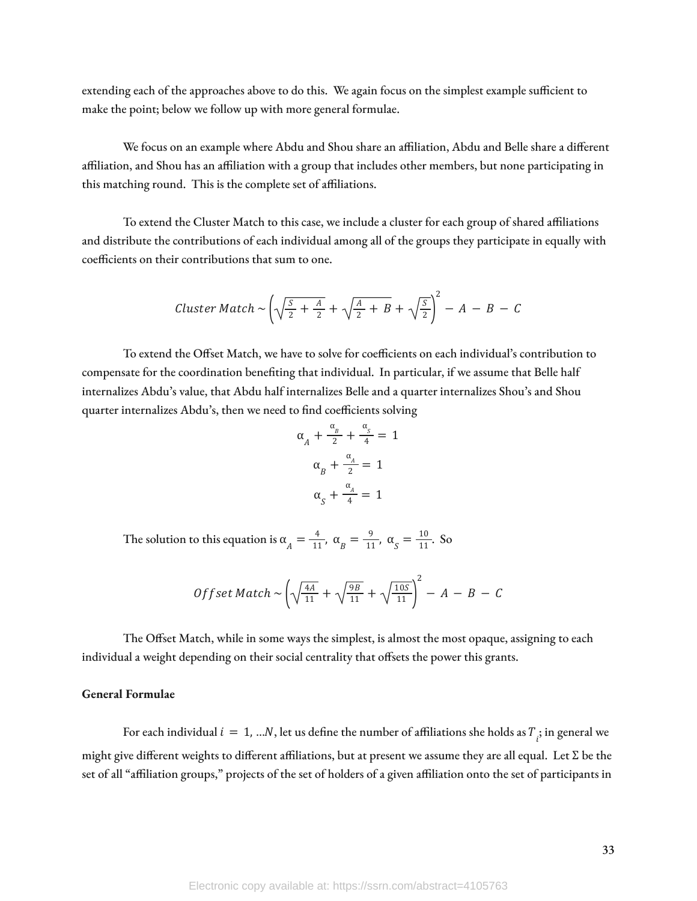extending each of the approaches above to do this. We again focus on the simplest example sufficient to make the point; below we follow up with more general formulae.

We focus on an example where Abdu and Shou share an affiliation, Abdu and Belle share a different affiliation, and Shou has an affiliation with a group that includes other members, but none participating in this matching round. This is the complete set of affiliations.

To extend the Cluster Match to this case, we include a cluster for each group of shared affiliations and distribute the contributions of each individual among all of the groups they participate in equally with coefficients on their contributions that sum to one.

Cluster Match 
$$
\sim \left(\sqrt{\frac{S}{2} + \frac{A}{2}} + \sqrt{\frac{A}{2} + B} + \sqrt{\frac{S}{2}}\right)^2 - A - B - C
$$

To extend the Offset Match, we have to solve for coefficients on each individual's contribution to compensate for the coordination beneting that individual. In particular, if we assume that Belle half internalizes Abdu's value, that Abdu half internalizes Belle and a quarter internalizes Shou's and Shou quarter internalizes Abdu's, then we need to find coefficients solving

$$
\alpha_A + \frac{\alpha_B}{2} + \frac{\alpha_S}{4} = 1
$$
  

$$
\alpha_B + \frac{\alpha_A}{2} = 1
$$
  

$$
\alpha_S + \frac{\alpha_A}{4} = 1
$$

The solution to this equation is  $\alpha_A = \frac{4}{11}$ ,  $\alpha_B = \frac{9}{11}$ ,  $\alpha_S = \frac{10}{11}$ . So  $\frac{4}{11}$ ,  $\alpha_{B} = \frac{9}{11}$  $\frac{9}{11}$ ,  $\alpha_{S} = \frac{10}{11}$ 11

$$
Offset Match \sim \left(\sqrt{\frac{4A}{11}} + \sqrt{\frac{9B}{11}} + \sqrt{\frac{10S}{11}}\right)^2 - A - B - C
$$

The Offset Match, while in some ways the simplest, is almost the most opaque, assigning to each individual a weight depending on their social centrality that offsets the power this grants.

# **General Formulae**

For each individual  $i = 1, ...N$ , let us define the number of affiliations she holds as  $T_{\overrightarrow{i}}$  in general we might give different weights to different affiliations, but at present we assume they are all equal. Let  $\Sigma$  be the set of all "affiliation groups," projects of the set of holders of a given affiliation onto the set of participants in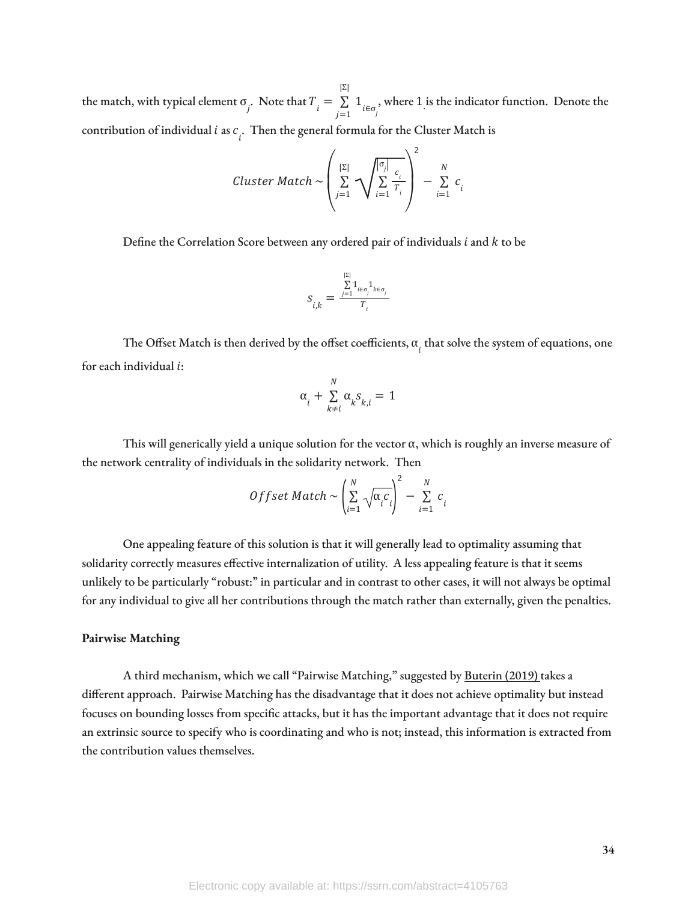the match, with typical element  $\sigma_j$ . Note that  $T_i = \sum_{j=1}^{n} 1_{i \in \sigma_j}$ , where 1 is the indicator function. Denote the |Σ|  $\sum_{i \in \sigma_j} 1_{i \in \sigma_j}$ , where 1. contribution of individual  $i$  as  $c_i$ . Then the general formula for the Cluster Match is

$$
\text{Cluster Match} \sim \left(\sum_{j=1}^{|\Sigma|} \sqrt{\sum_{i=1}^{|\sigma_j|} \frac{c_i}{T_i}}\right)^2 - \sum_{i=1}^{N} c_i
$$

Define the Correlation Score between any ordered pair of individuals  $i$  and  $k$  to be

$$
S_{i,k} = \frac{\sum\limits_{j=1}^{|\Sigma|} \mathbf{1}_{i \in \sigma_j} \mathbf{1}_{k \in \sigma_j}}{T_i}
$$

The Offset Match is then derived by the offset coefficients,  $\alpha_{_{l}}$  that solve the system of equations, one for each individual  $i$ :

$$
\alpha_i + \sum_{k \neq i}^{N} \alpha_k s_{k,i} = 1
$$

This will generically yield a unique solution for the vector  $\alpha$ , which is roughly an inverse measure of the network centrality of individuals in the solidarity network. Then

$$
Offset Match \sim \left(\sum_{i=1}^{N} \sqrt{\alpha_i c_i}\right)^2 - \sum_{i=1}^{N} c_i
$$

One appealing feature of this solution is that it will generally lead to optimality assuming that solidarity correctly measures effective internalization of utility. A less appealing feature is that it seems unlikely to be particularly "robust:" in particular and in contrast to other cases, it will not always be optimal for any individual to give all her contributions through the match rather than externally, given the penalties.

#### **Pairwise Matching**

A third mechanism, which we call "Pairwise Matching," suggested by [Buterin](https://ethresear.ch/t/pairwise-coordination-subsidies-a-new-quadratic-funding-design/5553) (2019) takes a different approach. Pairwise Matching has the disadvantage that it does not achieve optimality but instead focuses on bounding losses from specific attacks, but it has the important advantage that it does not require an extrinsic source to specify who is coordinating and who is not; instead, this information is extracted from the contribution values themselves.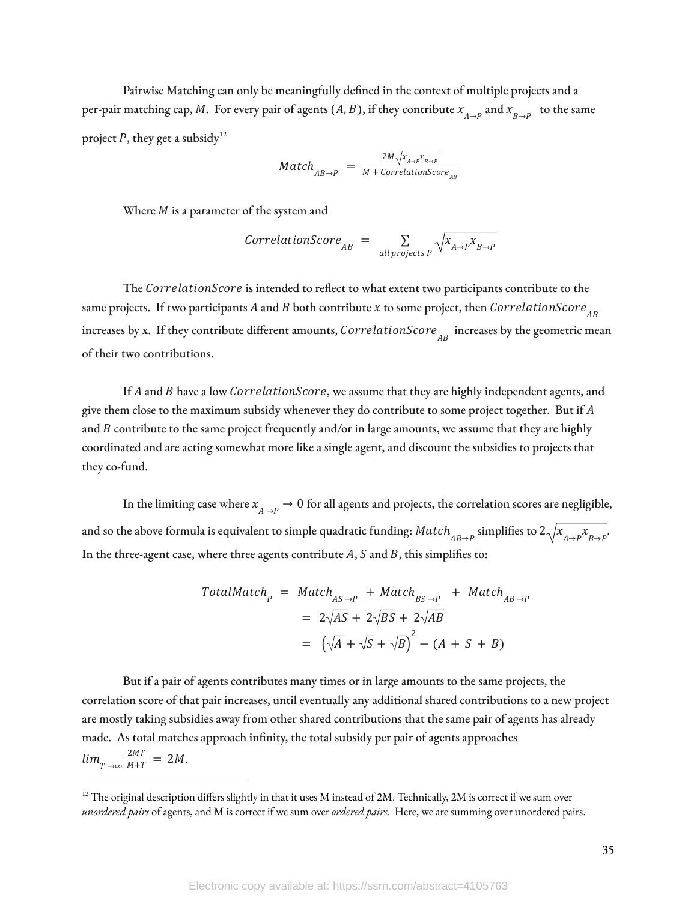Pairwise Matching can only be meaningfully defined in the context of multiple projects and a per-pair matching cap, M. For every pair of agents  $(A, B)$ , if they contribute  $x_{A\to P}^{\prime}$  and  $x_{B\to P}^{\prime}$  to the same project P, they get a subsidy<sup>12</sup>

$$
Match_{AB \to P} = \frac{2M\sqrt{X_{A \to P}X_{B \to P}}}{M + CorrelationScore_{AB}}
$$

Where  $M$  is a parameter of the system and

$$
CorrelationScore_{AB} = \sum_{all \, projects \, P} \sqrt{x_{A \to P} x_{B \to P}}
$$

The CorrelationScore is intended to reflect to what extent two participants contribute to the same projects. If two participants  $A$  and  $B$  both contribute  $x$  to some project, then  $\emph{CorrelationScore}_{AB}$ increases by x. If they contribute different amounts,  $\emph{CorrelationScore}_{\emph{AB}}$  increases by the geometric mean of their two contributions.

If  $A$  and  $B$  have a low CorrelationScore, we assume that they are highly independent agents, and give them close to the maximum subsidy whenever they do contribute to some project together. But if  $A$ and  $B$  contribute to the same project frequently and/or in large amounts, we assume that they are highly coordinated and are acting somewhat more like a single agent, and discount the subsidies to projects that they co-fund.

In the limiting case where  $x_{A\to P}^+ \to 0$  for all agents and projects, the correlation scores are negligible, and so the above formula is equivalent to simple quadratic funding:  $Match_{AB\to P}$  simplifies to  $2\sqrt{\chi}_{A\to P}\chi_{B\to P}$ . In the three-agent case, where three agents contribute  $A$ ,  $S$  and  $B$ , this simplifies to:

$$
TotalMatch_{p} = Match_{AS \to P} + Match_{BS \to P} + Match_{AB \to P}
$$
  
=  $2\sqrt{AS} + 2\sqrt{BS} + 2\sqrt{AB}$   
=  $(\sqrt{A} + \sqrt{S} + \sqrt{B})^{2} - (A + S + B)$ 

But if a pair of agents contributes many times or in large amounts to the same projects, the correlation score of that pair increases, until eventually any additional shared contributions to a new project are mostly taking subsidies away from other shared contributions that the same pair of agents has already made. As total matches approach infinity, the total subsidy per pair of agents approaches  $lim_{T \to \infty} \frac{2M}{M+T} = 2M.$  $\frac{2MT}{M+T} = 2M$ 

 $12$  The original description differs slightly in that it uses M instead of 2M. Technically, 2M is correct if we sum over *unordered pairs* of agents, and M is correct if we sum over *ordered pairs*. Here, we are summing over unordered pairs.